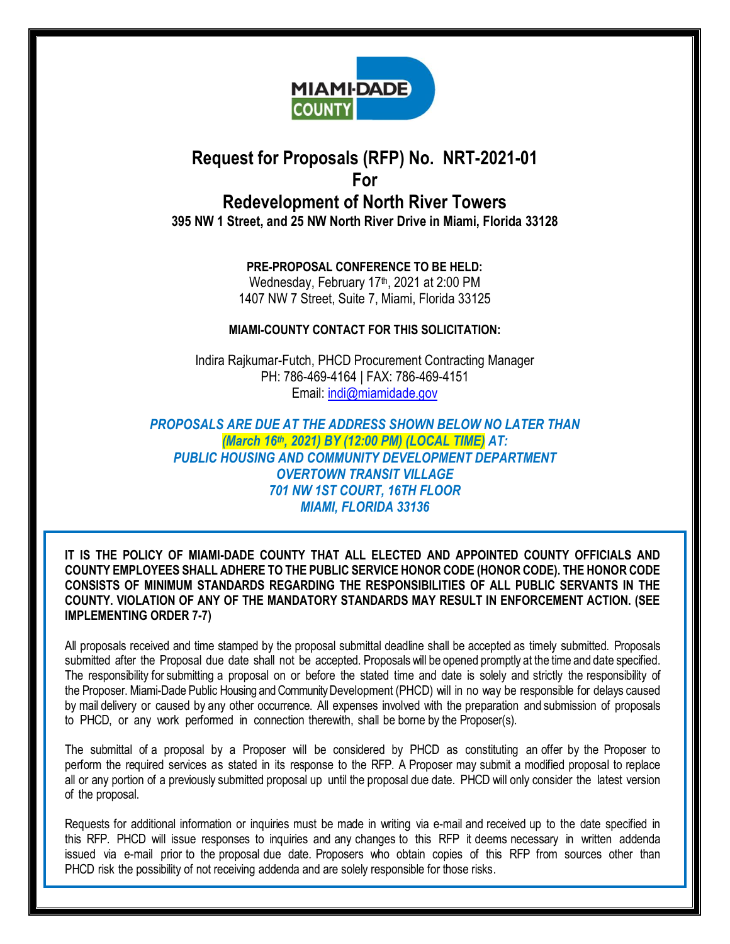

# **Request for Proposals (RFP) No. NRT-2021-01 For Redevelopment of North River Towers**

**395 NW 1 Street, and 25 NW North River Drive in Miami, Florida 33128**

**PRE-PROPOSAL CONFERENCE TO BE HELD:** Wednesday, February 17<sup>th</sup>, 2021 at 2:00 PM 1407 NW 7 Street, Suite 7, Miami, Florida 33125

## **MIAMI-COUNTY CONTACT FOR THIS SOLICITATION:**

Indira Rajkumar-Futch, PHCD Procurement Contracting Manager PH: 786-469-4164 | FAX: 786-469-4151 Email: [indi@miamidade.gov](mailto:indi@miamidade.gov)

*PROPOSALS ARE DUE AT THE ADDRESS SHOWN BELOW NO LATER THAN (March 16th, 2021) BY (12:00 PM) (LOCAL TIME) AT: PUBLIC HOUSING AND COMMUNITY DEVELOPMENT DEPARTMENT OVERTOWN TRANSIT VILLAGE 701 NW 1ST COURT, 16TH FLOOR MIAMI, FLORIDA 33136*

**IT IS THE POLICY OF MIAMI-DADE COUNTY THAT ALL ELECTED AND APPOINTED COUNTY OFFICIALS AND COUNTY EMPLOYEES SHALL ADHERE TO THE PUBLIC SERVICE HONOR CODE (HONOR CODE). THE HONOR CODE CONSISTS OF MINIMUM STANDARDS REGARDING THE RESPONSIBILITIES OF ALL PUBLIC SERVANTS IN THE COUNTY. VIOLATION OF ANY OF THE MANDATORY STANDARDS MAY RESULT IN ENFORCEMENT ACTION. (SEE IMPLEMENTING ORDER 7-7)**

All proposals received and time stamped by the proposal submittal deadline shall be accepted as timely submitted. Proposals submitted after the Proposal due date shall not be accepted. Proposals will be opened promptly at the time and date specified. The responsibility for submitting a proposal on or before the stated time and date is solely and strictly the responsibility of the Proposer. Miami-Dade Public Housing and Community Development (PHCD) will in no way be responsible for delays caused by mail delivery or caused by any other occurrence. All expenses involved with the preparation and submission of proposals to PHCD, or any work performed in connection therewith, shall be borne by the Proposer(s).

The submittal of a proposal by a Proposer will be considered by PHCD as constituting an offer by the Proposer to perform the required services as stated in its response to the RFP. A Proposer may submit a modified proposal to replace all or any portion of a previously submitted proposal up until the proposal due date. PHCD will only consider the latest version of the proposal.

Requests for additional information or inquiries must be made in writing via e-mail and received up to the date specified in this RFP. PHCD will issue responses to inquiries and any changes to this RFP it deems necessary in written addenda issued via e-mail prior to the proposal due date. Proposers who obtain copies of this RFP from sources other than PHCD risk the possibility of not receiving addenda and are solely responsible for those risks.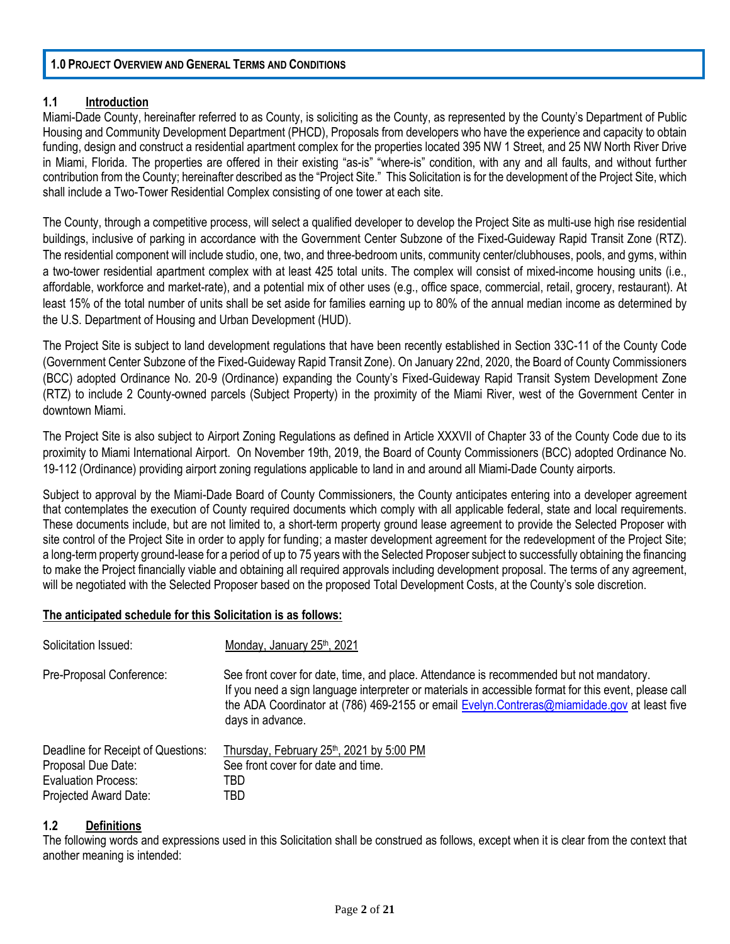#### **1.0 PROJECT OVERVIEW AND GENERAL TERMS AND CONDITIONS**

## **1.1 Introduction**

Miami-Dade County, hereinafter referred to as County, is soliciting as the County, as represented by the County's Department of Public Housing and Community Development Department (PHCD), Proposals from developers who have the experience and capacity to obtain funding, design and construct a residential apartment complex for the properties located 395 NW 1 Street, and 25 NW North River Drive in Miami, Florida. The properties are offered in their existing "as-is" "where-is" condition, with any and all faults, and without further contribution from the County; hereinafter described as the "Project Site." This Solicitation is for the development of the Project Site, which shall include a Two-Tower Residential Complex consisting of one tower at each site.

The County, through a competitive process, will select a qualified developer to develop the Project Site as multi-use high rise residential buildings, inclusive of parking in accordance with the Government Center Subzone of the Fixed-Guideway Rapid Transit Zone (RTZ). The residential component will include studio, one, two, and three-bedroom units, community center/clubhouses, pools, and gyms, within a two-tower residential apartment complex with at least 425 total units. The complex will consist of mixed-income housing units (i.e., affordable, workforce and market-rate), and a potential mix of other uses (e.g., office space, commercial, retail, grocery, restaurant). At least 15% of the total number of units shall be set aside for families earning up to 80% of the annual median income as determined by the U.S. Department of Housing and Urban Development (HUD).

The Project Site is subject to land development regulations that have been recently established in Section 33C-11 of the County Code (Government Center Subzone of the Fixed-Guideway Rapid Transit Zone). On January 22nd, 2020, the Board of County Commissioners (BCC) adopted Ordinance No. 20-9 (Ordinance) expanding the County's Fixed-Guideway Rapid Transit System Development Zone (RTZ) to include 2 County-owned parcels (Subject Property) in the proximity of the Miami River, west of the Government Center in downtown Miami.

The Project Site is also subject to Airport Zoning Regulations as defined in Article XXXVII of Chapter 33 of the County Code due to its proximity to Miami International Airport. On November 19th, 2019, the Board of County Commissioners (BCC) adopted Ordinance No. 19-112 (Ordinance) providing airport zoning regulations applicable to land in and around all Miami-Dade County airports.

Subject to approval by the Miami-Dade Board of County Commissioners, the County anticipates entering into a developer agreement that contemplates the execution of County required documents which comply with all applicable federal, state and local requirements. These documents include, but are not limited to, a short-term property ground lease agreement to provide the Selected Proposer with site control of the Project Site in order to apply for funding; a master development agreement for the redevelopment of the Project Site; a long-term property ground-lease for a period of up to 75 years with the Selected Proposer subject to successfully obtaining the financing to make the Project financially viable and obtaining all required approvals including development proposal. The terms of any agreement, will be negotiated with the Selected Proposer based on the proposed Total Development Costs, at the County's sole discretion.

## **The anticipated schedule for this Solicitation is as follows:**

| Solicitation Issued:               | Monday, January 25 <sup>th</sup> , 2021                                                                                                                                                                                                                                                                             |
|------------------------------------|---------------------------------------------------------------------------------------------------------------------------------------------------------------------------------------------------------------------------------------------------------------------------------------------------------------------|
| Pre-Proposal Conference:           | See front cover for date, time, and place. Attendance is recommended but not mandatory.<br>If you need a sign language interpreter or materials in accessible format for this event, please call<br>the ADA Coordinator at (786) 469-2155 or email Evelyn.Contreras@miamidade.gov at least five<br>days in advance. |
| Deadline for Receipt of Questions: | Thursday, February 25th, 2021 by 5:00 PM                                                                                                                                                                                                                                                                            |
| Proposal Due Date:                 | See front cover for date and time.                                                                                                                                                                                                                                                                                  |
| Evaluation Process:                | TBD                                                                                                                                                                                                                                                                                                                 |
| Projected Award Date:              | TBD                                                                                                                                                                                                                                                                                                                 |

## **1.2 Definitions**

The following words and expressions used in this Solicitation shall be construed as follows, except when it is clear from the context that another meaning is intended: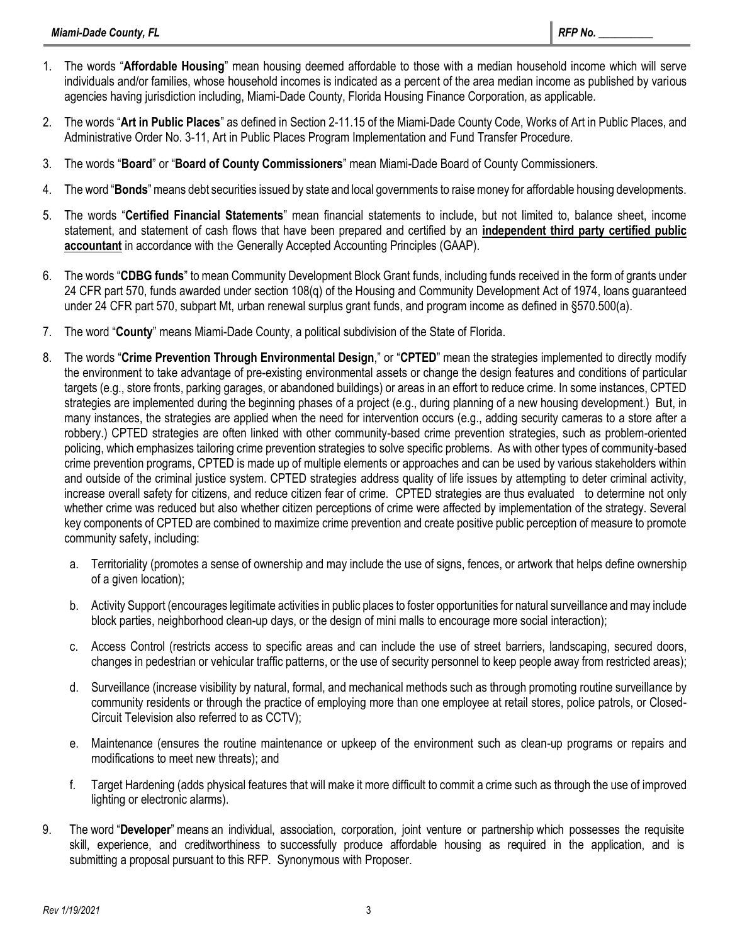- 1. The words "**Affordable Housing**" mean housing deemed affordable to those with a median household income which will serve individuals and/or families, whose household incomes is indicated as a percent of the area median income as published by various agencies having jurisdiction including, Miami-Dade County, Florida Housing Finance Corporation, as applicable.
- 2. The words "**Art in Public Places**" as defined in Section 2-11.15 of the Miami-Dade County Code, Works of Art in Public Places, and Administrative Order No. 3-11, Art in Public Places Program Implementation and Fund Transfer Procedure.
- 3. The words "**Board**" or "**Board of County Commissioners**" mean Miami-Dade Board of County Commissioners.
- 4. The word "**Bonds**" means debt securities issued by state and local governments to raise money for affordable housing developments.
- 5. The words "**Certified Financial Statements**" mean financial statements to include, but not limited to, balance sheet, income statement, and statement of cash flows that have been prepared and certified by an **independent third party certified public accountant** in accordance with the Generally Accepted Accounting Principles (GAAP).
- 6. The words "**CDBG funds**" to mean Community Development Block Grant funds, including funds received in the form of grants under 24 CFR part 570, funds awarded under section 108(q) of the Housing and Community Development Act of 1974, loans guaranteed under 24 CFR part 570, subpart Mt, urban renewal surplus grant funds, and program income as defined in §570.500(a).
- 7. The word "**County**" means Miami-Dade County, a political subdivision of the State of Florida.
- 8. The words "**Crime Prevention Through Environmental Design**," or "**CPTED**" mean the strategies implemented to directly modify the environment to take advantage of pre-existing environmental assets or change the design features and conditions of particular targets (e.g., store fronts, parking garages, or abandoned buildings) or areas in an effort to reduce crime. In some instances, CPTED strategies are implemented during the beginning phases of a project (e.g., during planning of a new housing development.) But, in many instances, the strategies are applied when the need for intervention occurs (e.g., adding security cameras to a store after a robbery.) CPTED strategies are often linked with other community-based crime prevention strategies, such as problem-oriented policing, which emphasizes tailoring crime prevention strategies to solve specific problems. As with other types of community-based crime prevention programs, CPTED is made up of multiple elements or approaches and can be used by various stakeholders within and outside of the criminal justice system. CPTED strategies address quality of life issues by attempting to deter criminal activity, increase overall safety for citizens, and reduce citizen fear of crime. CPTED strategies are thus evaluated to determine not only whether crime was reduced but also whether citizen perceptions of crime were affected by implementation of the strategy. Several key components of CPTED are combined to maximize crime prevention and create positive public perception of measure to promote community safety, including:
	- a. Territoriality (promotes a sense of ownership and may include the use of signs, fences, or artwork that helps define ownership of a given location);
	- b. Activity Support (encourages legitimate activities in public places to foster opportunities for natural surveillance and may include block parties, neighborhood clean-up days, or the design of mini malls to encourage more social interaction);
	- c. Access Control (restricts access to specific areas and can include the use of street barriers, landscaping, secured doors, changes in pedestrian or vehicular traffic patterns, or the use of security personnel to keep people away from restricted areas);
	- d. Surveillance (increase visibility by natural, formal, and mechanical methods such as through promoting routine surveillance by community residents or through the practice of employing more than one employee at retail stores, police patrols, or Closed-Circuit Television also referred to as CCTV);
	- e. Maintenance (ensures the routine maintenance or upkeep of the environment such as clean-up programs or repairs and modifications to meet new threats); and
	- f. Target Hardening (adds physical features that will make it more difficult to commit a crime such as through the use of improved lighting or electronic alarms).
- 9. The word "**Developer**" means an individual, association, corporation, joint venture or partnership which possesses the requisite skill, experience, and creditworthiness to successfully produce affordable housing as required in the application, and is submitting a proposal pursuant to this RFP. Synonymous with Proposer.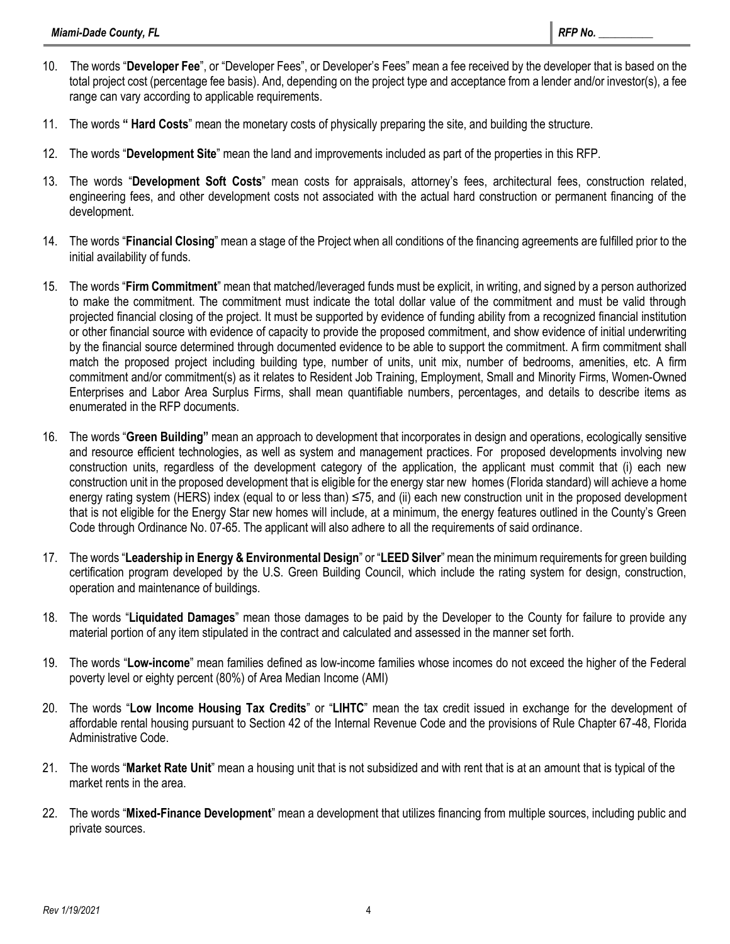- 10. The words "**Developer Fee**", or "Developer Fees", or Developer's Fees" mean a fee received by the developer that is based on the total project cost (percentage fee basis). And, depending on the project type and acceptance from a lender and/or investor(s), a fee range can vary according to applicable requirements.
- 11. The words **" Hard Costs**" mean the monetary costs of physically preparing the site, and building the structure.
- 12. The words "**Development Site**" mean the land and improvements included as part of the properties in this RFP.
- 13. The words "**Development Soft Costs**" mean costs for appraisals, attorney's fees, architectural fees, construction related, engineering fees, and other development costs not associated with the actual hard construction or permanent financing of the development.
- 14. The words "**Financial Closing**" mean a stage of the Project when all conditions of the financing agreements are fulfilled prior to the initial availability of funds.
- 15. The words "**Firm Commitment**" mean that matched/leveraged funds must be explicit, in writing, and signed by a person authorized to make the commitment. The commitment must indicate the total dollar value of the commitment and must be valid through projected financial closing of the project. It must be supported by evidence of funding ability from a recognized financial institution or other financial source with evidence of capacity to provide the proposed commitment, and show evidence of initial underwriting by the financial source determined through documented evidence to be able to support the commitment. A firm commitment shall match the proposed project including building type, number of units, unit mix, number of bedrooms, amenities, etc. A firm commitment and/or commitment(s) as it relates to Resident Job Training, Employment, Small and Minority Firms, Women-Owned Enterprises and Labor Area Surplus Firms, shall mean quantifiable numbers, percentages, and details to describe items as enumerated in the RFP documents.
- 16. The words "**Green Building"** mean an approach to development that incorporates in design and operations, ecologically sensitive and resource efficient technologies, as well as system and management practices. For proposed developments involving new construction units, regardless of the development category of the application, the applicant must commit that (i) each new construction unit in the proposed development that is eligible for the energy star new homes (Florida standard) will achieve a home energy rating system (HERS) index (equal to or less than) ≤75, and (ii) each new construction unit in the proposed development that is not eligible for the Energy Star new homes will include, at a minimum, the energy features outlined in the County's Green Code through Ordinance No. 07-65. The applicant will also adhere to all the requirements of said ordinance.
- 17. The words "**Leadership in Energy & Environmental Design**" or "**LEED Silver**" mean the minimum requirements for green building certification program developed by the U.S. Green Building Council, which include the rating system for design, construction, operation and maintenance of buildings.
- 18. The words "**Liquidated Damages**" mean those damages to be paid by the Developer to the County for failure to provide any material portion of any item stipulated in the contract and calculated and assessed in the manner set forth.
- 19. The words "**Low-income**" mean families defined as low-income families whose incomes do not exceed the higher of the Federal poverty level or eighty percent (80%) of Area Median Income (AMI)
- 20. The words "**Low Income Housing Tax Credits**" or "**LIHTC**" mean the tax credit issued in exchange for the development of affordable rental housing pursuant to Section 42 of the Internal Revenue Code and the provisions of Rule Chapter 67-48, Florida Administrative Code.
- 21. The words "**Market Rate Unit**" mean a housing unit that is not subsidized and with rent that is at an amount that is typical of the market rents in the area.
- 22. The words "**Mixed-Finance Development**" mean a development that utilizes financing from multiple sources, including public and private sources.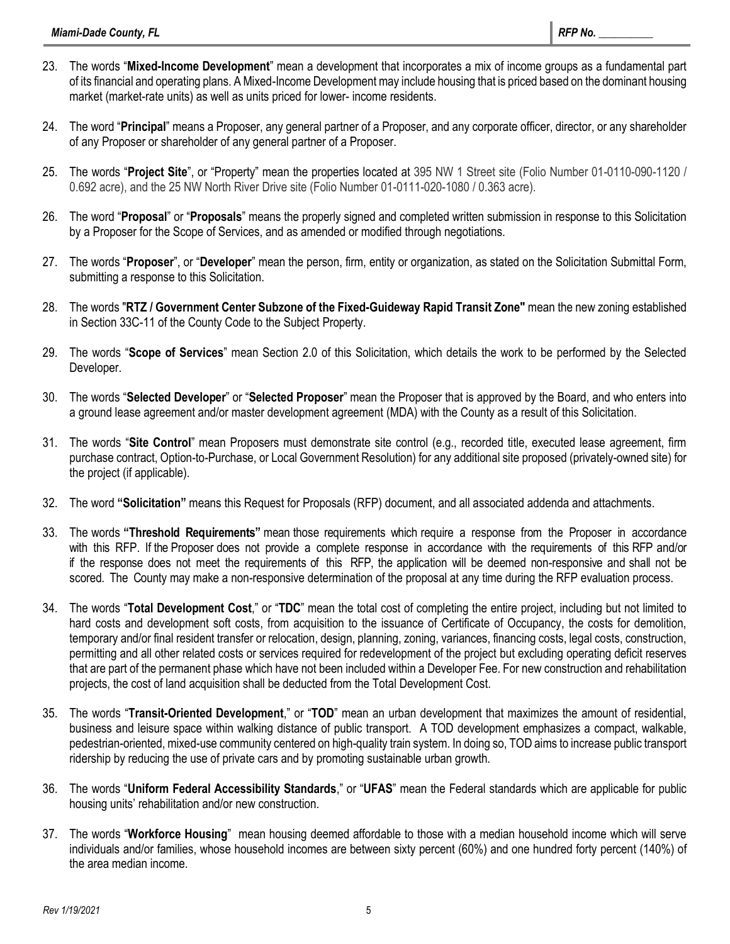- 23. The words "**Mixed-Income Development**" mean a development that incorporates a mix of income groups as a fundamental part of its financial and operating plans. A Mixed-Income Development may include housing that is priced based on the dominant housing market (market-rate units) as well as units priced for lower- income residents.
- 24. The word "**Principal**" means a Proposer, any general partner of a Proposer, and any corporate officer, director, or any shareholder of any Proposer or shareholder of any general partner of a Proposer.
- 25. The words "**Project Site**", or "Property" mean the properties located at 395 NW 1 Street site (Folio Number 01-0110-090-1120 / 0.692 acre), and the 25 NW North River Drive site (Folio Number 01-0111-020-1080 / 0.363 acre).
- 26. The word "**Proposal**" or "**Proposals**" means the properly signed and completed written submission in response to this Solicitation by a Proposer for the Scope of Services, and as amended or modified through negotiations.
- 27. The words "**Proposer**", or "**Developer**" mean the person, firm, entity or organization, as stated on the Solicitation Submittal Form, submitting a response to this Solicitation.
- 28. The words "**RTZ / Government Center Subzone of the Fixed-Guideway Rapid Transit Zone"** mean the new zoning established in Section 33C-11 of the County Code to the Subject Property.
- 29. The words "**Scope of Services**" mean Section 2.0 of this Solicitation, which details the work to be performed by the Selected Developer.
- 30. The words "**Selected Developer**" or "**Selected Proposer**" mean the Proposer that is approved by the Board, and who enters into a ground lease agreement and/or master development agreement (MDA) with the County as a result of this Solicitation.
- 31. The words "**Site Control**" mean Proposers must demonstrate site control (e.g., recorded title, executed lease agreement, firm purchase contract, Option-to-Purchase, or Local Government Resolution) for any additional site proposed (privately-owned site) for the project (if applicable).
- 32. The word **"Solicitation"** means this Request for Proposals (RFP) document, and all associated addenda and attachments.
- 33. The words **"Threshold Requirements"** mean those requirements which require a response from the Proposer in accordance with this RFP. If the Proposer does not provide a complete response in accordance with the requirements of this RFP and/or if the response does not meet the requirements of this RFP, the application will be deemed non-responsive and shall not be scored. The County may make a non-responsive determination of the proposal at any time during the RFP evaluation process.
- 34. The words "**Total Development Cost**," or "**TDC**" mean the total cost of completing the entire project, including but not limited to hard costs and development soft costs, from acquisition to the issuance of Certificate of Occupancy, the costs for demolition, temporary and/or final resident transfer or relocation, design, planning, zoning, variances, financing costs, legal costs, construction, permitting and all other related costs or services required for redevelopment of the project but excluding operating deficit reserves that are part of the permanent phase which have not been included within a Developer Fee. For new construction and rehabilitation projects, the cost of land acquisition shall be deducted from the Total Development Cost.
- 35. The words "**Transit-Oriented Development**," or "**TOD**" mean an urban development that maximizes the amount of residential, business and leisure space within walking distance of public transport. A TOD development emphasizes a compact, walkable, pedestrian-oriented, mixed-use community centered on high-quality train system. In doing so, TOD aims to increase public transport ridership by reducing the use of private cars and by promoting sustainable urban growth.
- 36. The words "**Uniform Federal Accessibility Standards**," or "**UFAS**" mean the Federal standards which are applicable for public housing units' rehabilitation and/or new construction.
- 37. The words "**Workforce Housing**" mean housing deemed affordable to those with a median household income which will serve individuals and/or families, whose household incomes are between sixty percent (60%) and one hundred forty percent (140%) of the area median income.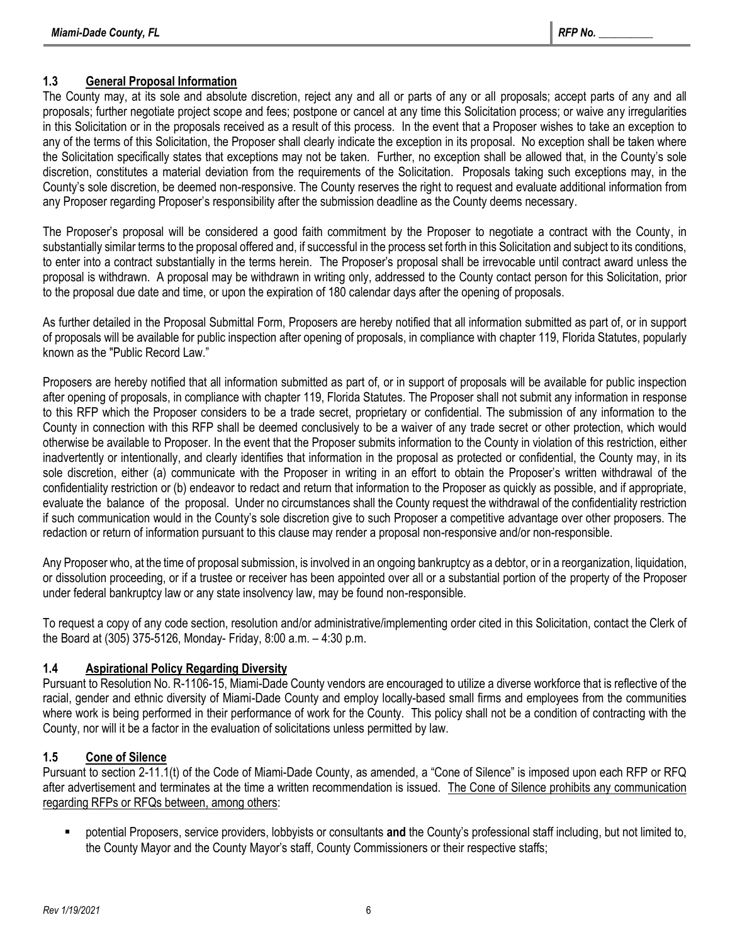## **1.3 General Proposal Information**

The County may, at its sole and absolute discretion, reject any and all or parts of any or all proposals; accept parts of any and all proposals; further negotiate project scope and fees; postpone or cancel at any time this Solicitation process; or waive any irregularities in this Solicitation or in the proposals received as a result of this process. In the event that a Proposer wishes to take an exception to any of the terms of this Solicitation, the Proposer shall clearly indicate the exception in its proposal. No exception shall be taken where the Solicitation specifically states that exceptions may not be taken. Further, no exception shall be allowed that, in the County's sole discretion, constitutes a material deviation from the requirements of the Solicitation. Proposals taking such exceptions may, in the County's sole discretion, be deemed non-responsive. The County reserves the right to request and evaluate additional information from any Proposer regarding Proposer's responsibility after the submission deadline as the County deems necessary.

The Proposer's proposal will be considered a good faith commitment by the Proposer to negotiate a contract with the County, in substantially similar terms to the proposal offered and, if successful in the process set forth in this Solicitation and subject to its conditions, to enter into a contract substantially in the terms herein. The Proposer's proposal shall be irrevocable until contract award unless the proposal is withdrawn. A proposal may be withdrawn in writing only, addressed to the County contact person for this Solicitation, prior to the proposal due date and time, or upon the expiration of 180 calendar days after the opening of proposals.

As further detailed in the Proposal Submittal Form, Proposers are hereby notified that all information submitted as part of, or in support of proposals will be available for public inspection after opening of proposals, in compliance with chapter 119, Florida Statutes, popularly known as the "Public Record Law."

Proposers are hereby notified that all information submitted as part of, or in support of proposals will be available for public inspection after opening of proposals, in compliance with chapter 119, Florida Statutes. The Proposer shall not submit any information in response to this RFP which the Proposer considers to be a trade secret, proprietary or confidential. The submission of any information to the County in connection with this RFP shall be deemed conclusively to be a waiver of any trade secret or other protection, which would otherwise be available to Proposer. In the event that the Proposer submits information to the County in violation of this restriction, either inadvertently or intentionally, and clearly identifies that information in the proposal as protected or confidential, the County may, in its sole discretion, either (a) communicate with the Proposer in writing in an effort to obtain the Proposer's written withdrawal of the confidentiality restriction or (b) endeavor to redact and return that information to the Proposer as quickly as possible, and if appropriate, evaluate the balance of the proposal. Under no circumstances shall the County request the withdrawal of the confidentiality restriction if such communication would in the County's sole discretion give to such Proposer a competitive advantage over other proposers. The redaction or return of information pursuant to this clause may render a proposal non-responsive and/or non-responsible.

Any Proposer who, at the time of proposal submission, is involved in an ongoing bankruptcy as a debtor, or in a reorganization, liquidation, or dissolution proceeding, or if a trustee or receiver has been appointed over all or a substantial portion of the property of the Proposer under federal bankruptcy law or any state insolvency law, may be found non-responsible.

To request a copy of any code section, resolution and/or administrative/implementing order cited in this Solicitation, contact the Clerk of the Board at (305) 375-5126, Monday- Friday, 8:00 a.m. – 4:30 p.m.

## **1.4 Aspirational Policy Regarding Diversity**

Pursuant to Resolution No. R-1106-15, Miami-Dade County vendors are encouraged to utilize a diverse workforce that is reflective of the racial, gender and ethnic diversity of Miami-Dade County and employ locally-based small firms and employees from the communities where work is being performed in their performance of work for the County. This policy shall not be a condition of contracting with the County, nor will it be a factor in the evaluation of solicitations unless permitted by law.

## **1.5 Cone of Silence**

Pursuant to section 2-11.1(t) of the Code of Miami-Dade County, as amended, a "Cone of Silence" is imposed upon each RFP or RFQ after advertisement and terminates at the time a written recommendation is issued. The Cone of Silence prohibits any communication regarding RFPs or RFQs between, among others:

potential Proposers, service providers, lobbyists or consultants and the County's professional staff including, but not limited to, the County Mayor and the County Mayor's staff, County Commissioners or their respective staffs;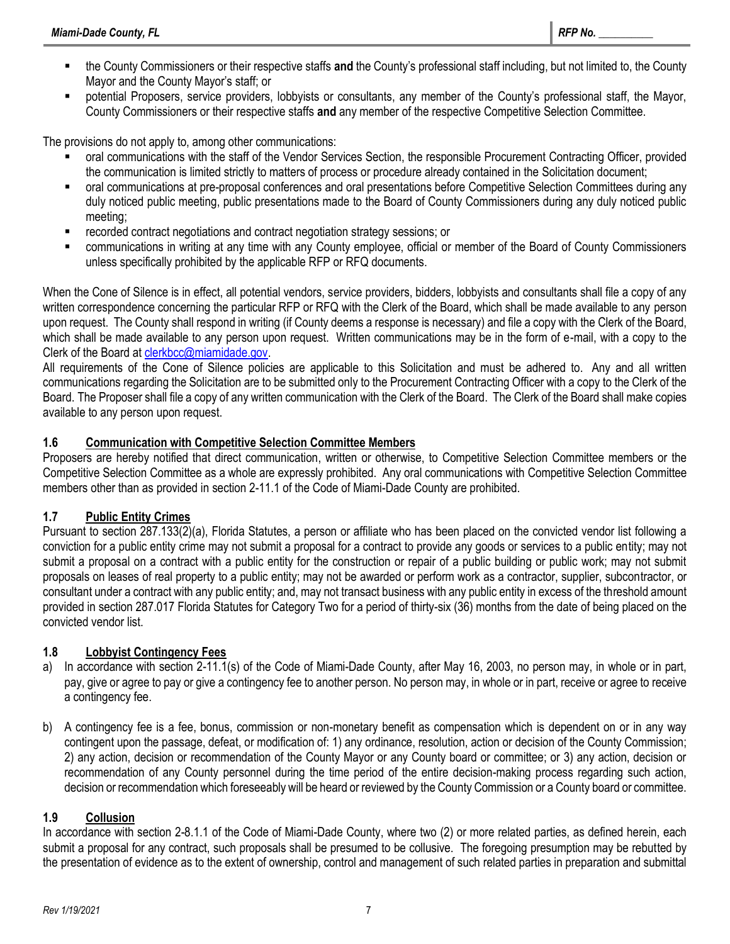- the County Commissioners or their respective staffs and the County's professional staff including, but not limited to, the County Mayor and the County Mayor's staff; or
- potential Proposers, service providers, lobbyists or consultants, any member of the County's professional staff, the Mayor, County Commissioners or their respective staffs **and** any member of the respective Competitive Selection Committee.

The provisions do not apply to, among other communications:

- oral communications with the staff of the Vendor Services Section, the responsible Procurement Contracting Officer, provided the communication is limited strictly to matters of process or procedure already contained in the Solicitation document;
- oral communications at pre-proposal conferences and oral presentations before Competitive Selection Committees during any duly noticed public meeting, public presentations made to the Board of County Commissioners during any duly noticed public meeting;
- recorded contract negotiations and contract negotiation strategy sessions; or
- communications in writing at any time with any County employee, official or member of the Board of County Commissioners unless specifically prohibited by the applicable RFP or RFQ documents.

When the Cone of Silence is in effect, all potential vendors, service providers, bidders, lobbyists and consultants shall file a copy of any written correspondence concerning the particular RFP or RFQ with the Clerk of the Board, which shall be made available to any person upon request. The County shall respond in writing (if County deems a response is necessary) and file a copy with the Clerk of the Board, which shall be made available to any person upon request. Written communications may be in the form of e-mail, with a copy to the Clerk of the Board at [clerkbcc@miamidade.gov.](mailto:CLERKBCC@MIAMIDADE.GOV)

All requirements of the Cone of Silence policies are applicable to this Solicitation and must be adhered to. Any and all written communications regarding the Solicitation are to be submitted only to the Procurement Contracting Officer with a copy to the Clerk of the Board. The Proposer shall file a copy of any written communication with the Clerk of the Board. The Clerk of the Board shall make copies available to any person upon request.

## **1.6 Communication with Competitive Selection Committee Members**

Proposers are hereby notified that direct communication, written or otherwise, to Competitive Selection Committee members or the Competitive Selection Committee as a whole are expressly prohibited. Any oral communications with Competitive Selection Committee members other than as provided in section 2-11.1 of the Code of Miami-Dade County are prohibited.

## **1.7 Public Entity Crimes**

Pursuant to section 287.133(2)(a), Florida Statutes, a person or affiliate who has been placed on the convicted vendor list following a conviction for a public entity crime may not submit a proposal for a contract to provide any goods or services to a public entity; may not submit a proposal on a contract with a public entity for the construction or repair of a public building or public work; may not submit proposals on leases of real property to a public entity; may not be awarded or perform work as a contractor, supplier, subcontractor, or consultant under a contract with any public entity; and, may not transact business with any public entity in excess of the threshold amount provided in section 287.017 Florida Statutes for Category Two for a period of thirty-six (36) months from the date of being placed on the convicted vendor list.

## **1.8 Lobbyist Contingency Fees**

- a) In accordance with section 2-11.1(s) of the Code of Miami-Dade County, after May 16, 2003, no person may, in whole or in part, pay, give or agree to pay or give a contingency fee to another person. No person may, in whole or in part, receive or agree to receive a contingency fee.
- b) A contingency fee is a fee, bonus, commission or non-monetary benefit as compensation which is dependent on or in any way contingent upon the passage, defeat, or modification of: 1) any ordinance, resolution, action or decision of the County Commission; 2) any action, decision or recommendation of the County Mayor or any County board or committee; or 3) any action, decision or recommendation of any County personnel during the time period of the entire decision-making process regarding such action, decision or recommendation which foreseeably will be heard or reviewed by the County Commission or a County board or committee.

## **1.9 Collusion**

In accordance with section 2-8.1.1 of the Code of Miami-Dade County, where two (2) or more related parties, as defined herein, each submit a proposal for any contract, such proposals shall be presumed to be collusive. The foregoing presumption may be rebutted by the presentation of evidence as to the extent of ownership, control and management of such related parties in preparation and submittal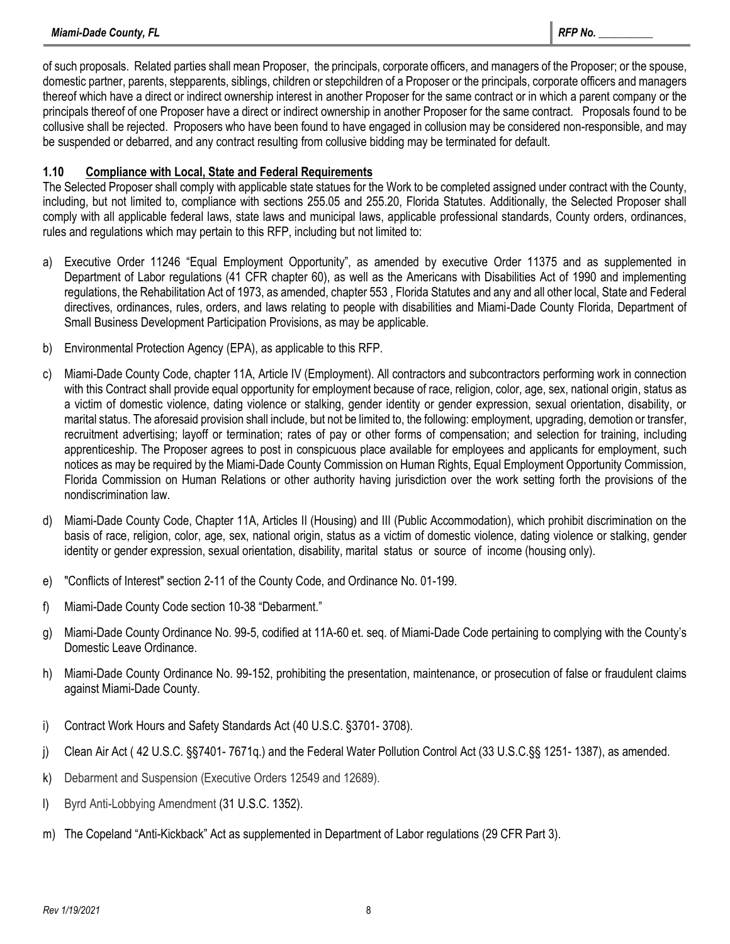of such proposals. Related parties shall mean Proposer, the principals, corporate officers, and managers of the Proposer; or the spouse, domestic partner, parents, stepparents, siblings, children or stepchildren of a Proposer or the principals, corporate officers and managers thereof which have a direct or indirect ownership interest in another Proposer for the same contract or in which a parent company or the principals thereof of one Proposer have a direct or indirect ownership in another Proposer for the same contract. Proposals found to be collusive shall be rejected. Proposers who have been found to have engaged in collusion may be considered non-responsible, and may be suspended or debarred, and any contract resulting from collusive bidding may be terminated for default.

## **1.10 Compliance with Local, State and Federal Requirements**

The Selected Proposer shall comply with applicable state statues for the Work to be completed assigned under contract with the County, including, but not limited to, compliance with sections 255.05 and 255.20, Florida Statutes. Additionally, the Selected Proposer shall comply with all applicable federal laws, state laws and municipal laws, applicable professional standards, County orders, ordinances, rules and regulations which may pertain to this RFP, including but not limited to:

- a) Executive Order 11246 "Equal Employment Opportunity", as amended by executive Order 11375 and as supplemented in Department of Labor regulations (41 CFR chapter 60), as well as the Americans with Disabilities Act of 1990 and implementing regulations, the Rehabilitation Act of 1973, as amended, chapter 553 , Florida Statutes and any and all other local, State and Federal directives, ordinances, rules, orders, and laws relating to people with disabilities and Miami-Dade County Florida, Department of Small Business Development Participation Provisions, as may be applicable.
- b) Environmental Protection Agency (EPA), as applicable to this RFP.
- c) Miami-Dade County Code, chapter 11A, Article IV (Employment). All contractors and subcontractors performing work in connection with this Contract shall provide equal opportunity for employment because of race, religion, color, age, sex, national origin, status as a victim of domestic violence, dating violence or stalking, gender identity or gender expression, sexual orientation, disability, or marital status. The aforesaid provision shall include, but not be limited to, the following: employment, upgrading, demotion or transfer, recruitment advertising; layoff or termination; rates of pay or other forms of compensation; and selection for training, including apprenticeship. The Proposer agrees to post in conspicuous place available for employees and applicants for employment, such notices as may be required by the Miami-Dade County Commission on Human Rights, Equal Employment Opportunity Commission, Florida Commission on Human Relations or other authority having jurisdiction over the work setting forth the provisions of the nondiscrimination law.
- d) Miami-Dade County Code, Chapter 11A, Articles II (Housing) and III (Public Accommodation), which prohibit discrimination on the basis of race, religion, color, age, sex, national origin, status as a victim of domestic violence, dating violence or stalking, gender identity or gender expression, sexual orientation, disability, marital status or source of income (housing only).
- e) "Conflicts of Interest" section 2-11 of the County Code, and Ordinance No. 01-199.
- f) Miami-Dade County Code section 10-38 "Debarment."
- g) Miami-Dade County Ordinance No. 99-5, codified at 11A-60 et. seq. of Miami-Dade Code pertaining to complying with the County's Domestic Leave Ordinance.
- h) Miami-Dade County Ordinance No. 99-152, prohibiting the presentation, maintenance, or prosecution of false or fraudulent claims against Miami-Dade County.
- i) Contract Work Hours and Safety Standards Act [\(40](https://www.law.cornell.edu/uscode/text/40/) U.S.C. [§3701-](https://www.law.cornell.edu/uscode/text/40/3701) [3708\)](https://www.law.cornell.edu/uscode/text/40/3708).
- j) Clean Air Act ( [42](https://www.law.cornell.edu/uscode/text/42/) U.S.C. §[§7401-](https://www.law.cornell.edu/uscode/text/42/7401) [7671q.](https://www.law.cornell.edu/uscode/text/42/7671q)) and the Federal Water Pollution Control Act [\(33](https://www.law.cornell.edu/uscode/text/33/) U.S.C.§§ [1251-](https://www.law.cornell.edu/uscode/text/33/1251) [1387\)](https://www.law.cornell.edu/uscode/text/33/1387), as amended.
- k) Debarment and Suspension (Executive Orders 12549 and 12689).
- l) Byrd Anti-Lobbying Amendment [\(31 U.S.C. 1352\)](https://www.law.cornell.edu/uscode/text/31/1352).
- m) The Copeland "Anti-Kickback" Act as supplemented in Department of Labor regulations (29 CFR Part 3).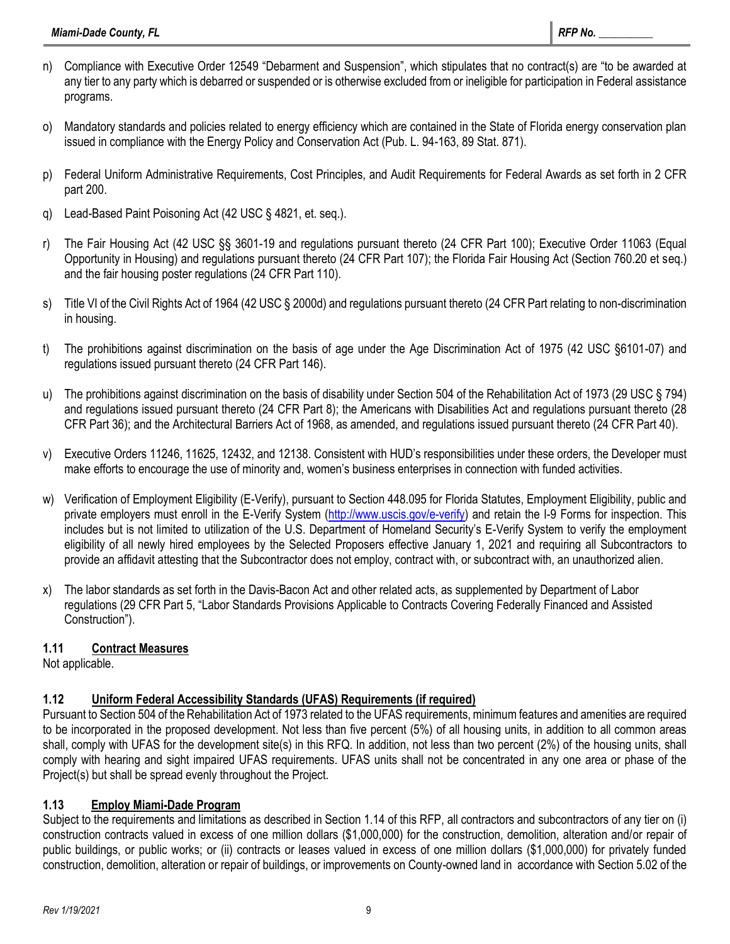- n) Compliance with Executive Order 12549 "Debarment and Suspension", which stipulates that no contract(s) are "to be awarded at any tier to any party which is debarred or suspended or is otherwise excluded from or ineligible for participation in Federal assistance programs.
- o) Mandatory standards and policies related to energy efficiency which are contained in the State of Florida energy conservation plan issued in compliance with the Energy Policy and Conservation Act (Pub. L. 94-163, 89 Stat. 871).
- p) Federal Uniform Administrative Requirements, Cost Principles, and Audit Requirements for Federal Awards as set forth in 2 CFR part 200.
- q) Lead-Based Paint Poisoning Act (42 USC § 4821, et. seq.).
- r) The Fair Housing Act (42 USC §§ 3601-19 and regulations pursuant thereto (24 CFR Part 100); Executive Order 11063 (Equal Opportunity in Housing) and regulations pursuant thereto (24 CFR Part 107); the Florida Fair Housing Act (Section 760.20 et seq.) and the fair housing poster regulations (24 CFR Part 110).
- s) Title VI of the Civil Rights Act of 1964 (42 USC § 2000d) and regulations pursuant thereto (24 CFR Part relating to non-discrimination in housing.
- t) The prohibitions against discrimination on the basis of age under the Age Discrimination Act of 1975 (42 USC §6101-07) and regulations issued pursuant thereto (24 CFR Part 146).
- u) The prohibitions against discrimination on the basis of disability under Section 504 of the Rehabilitation Act of 1973 (29 USC § 794) and regulations issued pursuant thereto (24 CFR Part 8); the Americans with Disabilities Act and regulations pursuant thereto (28 CFR Part 36); and the Architectural Barriers Act of 1968, as amended, and regulations issued pursuant thereto (24 CFR Part 40).
- v) Executive Orders 11246, 11625, 12432, and 12138. Consistent with HUD's responsibilities under these orders, the Developer must make efforts to encourage the use of minority and, women's business enterprises in connection with funded activities.
- w) Verification of Employment Eligibility (E-Verify), pursuant to Section 448.095 for Florida Statutes, Employment Eligibility, public and private employers must enroll in the E-Verify System [\(http://www.uscis.gov/e-verify\)](http://www.uscis.gov/e-verify) and retain the I-9 Forms for inspection. This includes but is not limited to utilization of the U.S. Department of Homeland Security's E-Verify System to verify the employment eligibility of all newly hired employees by the Selected Proposers effective January 1, 2021 and requiring all Subcontractors to provide an affidavit attesting that the Subcontractor does not employ, contract with, or subcontract with, an unauthorized alien.
- x) The labor standards as set forth in the Davis-Bacon Act and other related acts, as supplemented by Department of Labor regulations (29 CFR Part 5, "Labor Standards Provisions Applicable to Contracts Covering Federally Financed and Assisted Construction").

## **1.11 Contract Measures**

Not applicable.

## **1.12 Uniform Federal Accessibility Standards (UFAS) Requirements (if required)**

Pursuant to Section 504 of the Rehabilitation Act of 1973 related to the UFAS requirements, minimum features and amenities are required to be incorporated in the proposed development. Not less than five percent (5%) of all housing units, in addition to all common areas shall, comply with UFAS for the development site(s) in this RFQ. In addition, not less than two percent (2%) of the housing units, shall comply with hearing and sight impaired UFAS requirements. UFAS units shall not be concentrated in any one area or phase of the Project(s) but shall be spread evenly throughout the Project.

## **1.13 Employ Miami-Dade Program**

Subject to the requirements and limitations as described in Section 1.14 of this RFP, all contractors and subcontractors of any tier on (i) construction contracts valued in excess of one million dollars (\$1,000,000) for the construction, demolition, alteration and/or repair of public buildings, or public works; or (ii) contracts or leases valued in excess of one million dollars (\$1,000,000) for privately funded construction, demolition, alteration or repair of buildings, or improvements on County-owned land in accordance with Section 5.02 of the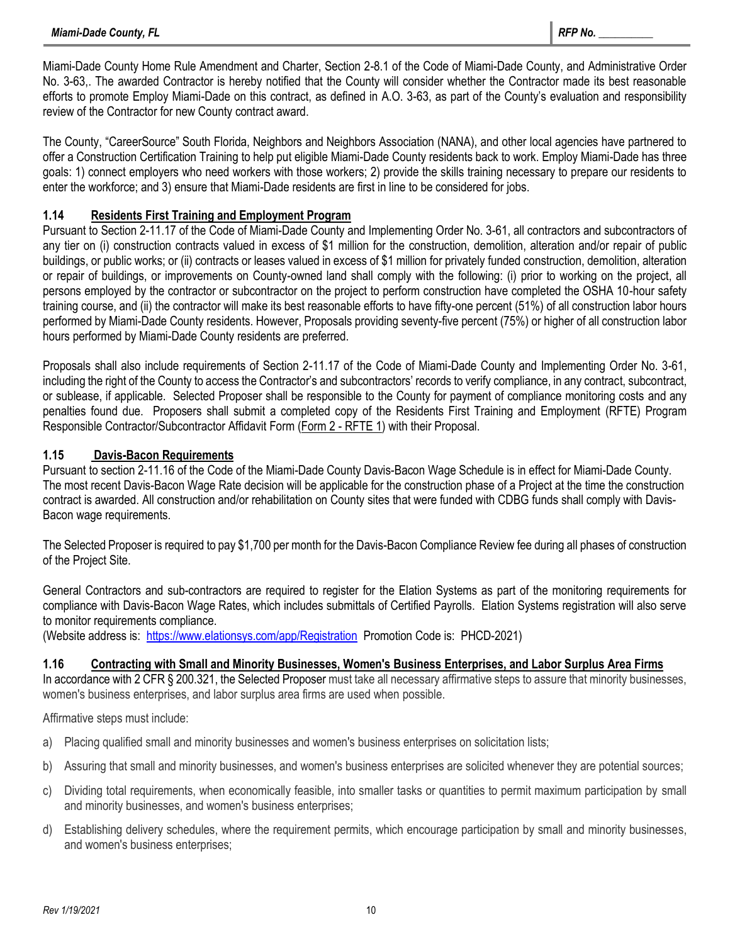Miami-Dade County Home Rule Amendment and Charter, Section 2-8.1 of the Code of Miami-Dade County, and Administrative Order No. 3-63,. The awarded Contractor is hereby notified that the County will consider whether the Contractor made its best reasonable efforts to promote Employ Miami-Dade on this contract, as defined in A.O. 3-63, as part of the County's evaluation and responsibility review of the Contractor for new County contract award.

The County, "CareerSource" South Florida, Neighbors and Neighbors Association (NANA), and other local agencies have partnered to offer a Construction Certification Training to help put eligible Miami-Dade County residents back to work. Employ Miami-Dade has three goals: 1) connect employers who need workers with those workers; 2) provide the skills training necessary to prepare our residents to enter the workforce; and 3) ensure that Miami-Dade residents are first in line to be considered for jobs.

## **1.14 Residents First Training and Employment Program**

Pursuant to Section 2-11.17 of the Code of Miami-Dade County and Implementing Order No. 3-61, all contractors and subcontractors of any tier on (i) construction contracts valued in excess of \$1 million for the construction, demolition, alteration and/or repair of public buildings, or public works; or (ii) contracts or leases valued in excess of \$1 million for privately funded construction, demolition, alteration or repair of buildings, or improvements on County-owned land shall comply with the following: (i) prior to working on the project, all persons employed by the contractor or subcontractor on the project to perform construction have completed the OSHA 10-hour safety training course, and (ii) the contractor will make its best reasonable efforts to have fifty-one percent (51%) of all construction labor hours performed by Miami-Dade County residents. However, Proposals providing seventy-five percent (75%) or higher of all construction labor hours performed by Miami-Dade County residents are preferred.

Proposals shall also include requirements of Section 2-11.17 of the Code of Miami-Dade County and Implementing Order No. 3-61, including the right of the County to access the Contractor's and subcontractors' records to verify compliance, in any contract, subcontract, or sublease, if applicable. Selected Proposer shall be responsible to the County for payment of compliance monitoring costs and any penalties found due. Proposers shall submit a completed copy of the Residents First Training and Employment (RFTE) Program Responsible Contractor/Subcontractor Affidavit Form (Form 2 - RFTE 1) with their Proposal.

## **1.15 Davis-Bacon Requirements**

Pursuant to section 2-11.16 of the Code of the Miami-Dade County Davis-Bacon Wage Schedule is in effect for Miami-Dade County. The most recent Davis-Bacon Wage Rate decision will be applicable for the construction phase of a Project at the time the construction contract is awarded. All construction and/or rehabilitation on County sites that were funded with CDBG funds shall comply with Davis-Bacon wage requirements.

The Selected Proposer is required to pay \$1,700 per month for the Davis-Bacon Compliance Review fee during all phases of construction of the Project Site.

General Contractors and sub-contractors are required to register for the Elation Systems as part of the monitoring requirements for compliance with Davis-Bacon Wage Rates, which includes submittals of Certified Payrolls. Elation Systems registration will also serve to monitor requirements compliance.

(Website address is:<https://www.elationsys.com/app/Registration>Promotion Code is: PHCD-2021)

## **1.16 Contracting with Small and Minority Businesses, Women's Business Enterprises, and Labor Surplus Area Firms**

In accordance with 2 CFR § 200.321, the Selected Proposer must take all necessary affirmative steps to assure that minority businesses, women's business enterprises, and labor surplus area firms are used when possible.

Affirmative steps must include:

- a) Placing qualified small and minority businesses and women's business enterprises on solicitation lists;
- b) Assuring that small and minority businesses, and women's business enterprises are solicited whenever they are potential sources;
- c) Dividing total requirements, when economically feasible, into smaller tasks or quantities to permit maximum participation by small and minority businesses, and women's business enterprises;
- d) Establishing delivery schedules, where the requirement permits, which encourage participation by small and minority businesses, and women's business enterprises;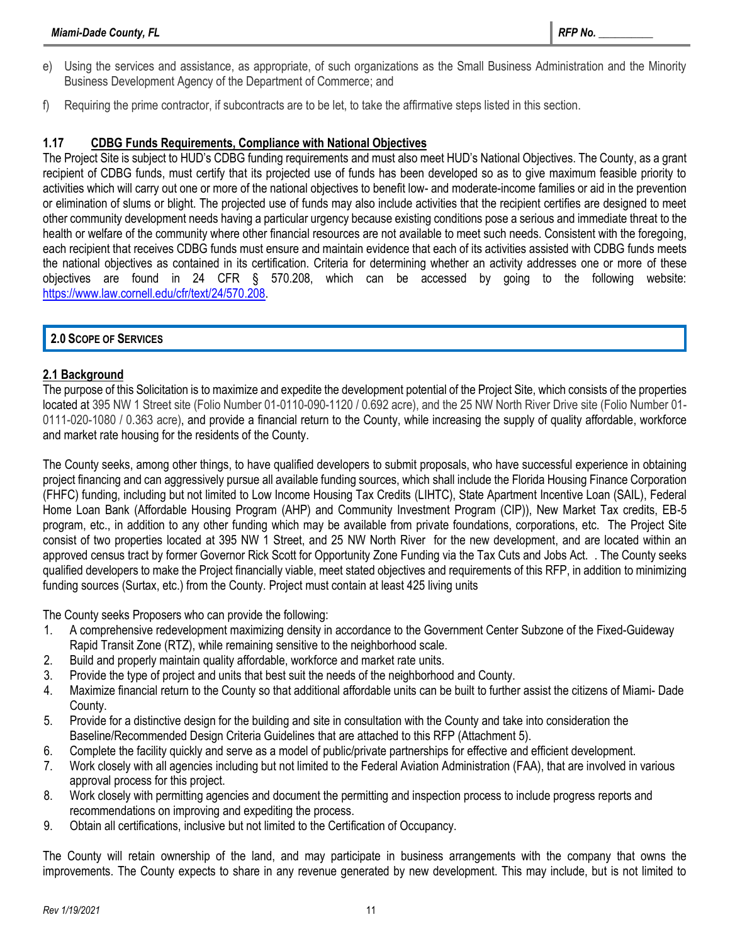- e) Using the services and assistance, as appropriate, of such organizations as the Small Business Administration and the Minority Business Development Agency of the Department of Commerce; and
- f) Requiring the prime contractor, if subcontracts are to be let, to take the affirmative steps listed in this section.

## **1.17 CDBG Funds Requirements, Compliance with National Objectives**

The Project Site is subject to HUD's CDBG funding requirements and must also meet HUD's National Objectives. The County, as a grant recipient of CDBG funds, must certify that its projected use of funds has been developed so as to give maximum feasible priority to activities which will carry out one or more of the national objectives to benefit low- and moderate-income families or aid in the prevention or elimination of slums or blight. The projected use of funds may also include activities that the recipient certifies are designed to meet other community development needs having a particular urgency because existing conditions pose a serious and immediate threat to the health or welfare of the community where other financial resources are not available to meet such needs. Consistent with the foregoing, each recipient that receives CDBG funds must ensure and maintain evidence that each of its activities assisted with CDBG funds meets the national objectives as contained in its certification. Criteria for determining whether an activity addresses one or more of these objectives are found in 24 CFR § 570.208, which can be accessed by going to the following website: [https://www.law.cornell.edu/cfr/text/24/570.208.](https://www.law.cornell.edu/cfr/text/24/570.208)

## **2.0 SCOPE OF SERVICES**

## **2.1 Background**

The purpose of this Solicitation is to maximize and expedite the development potential of the Project Site, which consists of the properties located at 395 NW 1 Street site (Folio Number 01-0110-090-1120 / 0.692 acre), and the 25 NW North River Drive site (Folio Number 01- 0111-020-1080 / 0.363 acre), and provide a financial return to the County, while increasing the supply of quality affordable, workforce and market rate housing for the residents of the County.

The County seeks, among other things, to have qualified developers to submit proposals, who have successful experience in obtaining project financing and can aggressively pursue all available funding sources, which shall include the Florida Housing Finance Corporation (FHFC) funding, including but not limited to Low Income Housing Tax Credits (LIHTC), State Apartment Incentive Loan (SAIL), Federal Home Loan Bank (Affordable Housing Program (AHP) and Community Investment Program (CIP)), New Market Tax credits, EB-5 program, etc., in addition to any other funding which may be available from private foundations, corporations, etc. The Project Site consist of two properties located at 395 NW 1 Street, and 25 NW North River for the new development, and are located within an approved census tract by former Governor Rick Scott for Opportunity Zone Funding via the Tax Cuts and Jobs Act. . The County seeks qualified developers to make the Project financially viable, meet stated objectives and requirements of this RFP, in addition to minimizing funding sources (Surtax, etc.) from the County. Project must contain at least 425 living units

The County seeks Proposers who can provide the following:

- 1. A comprehensive redevelopment maximizing density in accordance to the Government Center Subzone of the Fixed-Guideway Rapid Transit Zone (RTZ), while remaining sensitive to the neighborhood scale.
- 2. Build and properly maintain quality affordable, workforce and market rate units.
- 3. Provide the type of project and units that best suit the needs of the neighborhood and County.
- 4. Maximize financial return to the County so that additional affordable units can be built to further assist the citizens of Miami- Dade County.
- 5. Provide for a distinctive design for the building and site in consultation with the County and take into consideration the Baseline/Recommended Design Criteria Guidelines that are attached to this RFP (Attachment 5).
- 6. Complete the facility quickly and serve as a model of public/private partnerships for effective and efficient development.
- 7. Work closely with all agencies including but not limited to the Federal Aviation Administration (FAA), that are involved in various approval process for this project.
- 8. Work closely with permitting agencies and document the permitting and inspection process to include progress reports and recommendations on improving and expediting the process.
- 9. Obtain all certifications, inclusive but not limited to the Certification of Occupancy.

The County will retain ownership of the land, and may participate in business arrangements with the company that owns the improvements. The County expects to share in any revenue generated by new development. This may include, but is not limited to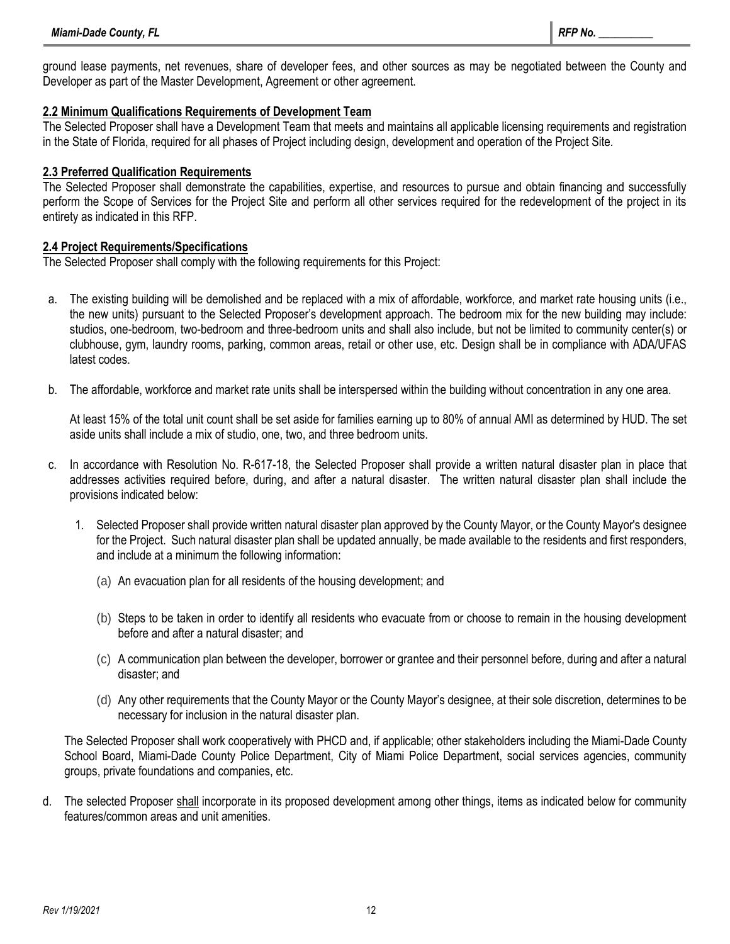ground lease payments, net revenues, share of developer fees, and other sources as may be negotiated between the County and Developer as part of the Master Development, Agreement or other agreement.

## **2.2 Minimum Qualifications Requirements of Development Team**

The Selected Proposer shall have a Development Team that meets and maintains all applicable licensing requirements and registration in the State of Florida, required for all phases of Project including design, development and operation of the Project Site.

## **2.3 Preferred Qualification Requirements**

The Selected Proposer shall demonstrate the capabilities, expertise, and resources to pursue and obtain financing and successfully perform the Scope of Services for the Project Site and perform all other services required for the redevelopment of the project in its entirety as indicated in this RFP.

## **2.4 Project Requirements/Specifications**

The Selected Proposer shall comply with the following requirements for this Project:

- a. The existing building will be demolished and be replaced with a mix of affordable, workforce, and market rate housing units (i.e., the new units) pursuant to the Selected Proposer's development approach. The bedroom mix for the new building may include: studios, one-bedroom, two-bedroom and three-bedroom units and shall also include, but not be limited to community center(s) or clubhouse, gym, laundry rooms, parking, common areas, retail or other use, etc. Design shall be in compliance with ADA/UFAS latest codes.
- b. The affordable, workforce and market rate units shall be interspersed within the building without concentration in any one area.

At least 15% of the total unit count shall be set aside for families earning up to 80% of annual AMI as determined by HUD. The set aside units shall include a mix of studio, one, two, and three bedroom units.

- c. In accordance with Resolution No. R-617-18, the Selected Proposer shall provide a written natural disaster plan in place that addresses activities required before, during, and after a natural disaster. The written natural disaster plan shall include the provisions indicated below:
	- 1. Selected Proposer shall provide written natural disaster plan approved by the County Mayor, or the County Mayor's designee for the Project. Such natural disaster plan shall be updated annually, be made available to the residents and first responders, and include at a minimum the following information:
		- (a) An evacuation plan for all residents of the housing development; and
		- (b) Steps to be taken in order to identify all residents who evacuate from or choose to remain in the housing development before and after a natural disaster; and
		- (c) A communication plan between the developer, borrower or grantee and their personnel before, during and after a natural disaster; and
		- (d) Any other requirements that the County Mayor or the County Mayor's designee, at their sole discretion, determines to be necessary for inclusion in the natural disaster plan.

The Selected Proposer shall work cooperatively with PHCD and, if applicable; other stakeholders including the Miami-Dade County School Board, Miami-Dade County Police Department, City of Miami Police Department, social services agencies, community groups, private foundations and companies, etc.

d. The selected Proposer shall incorporate in its proposed development among other things, items as indicated below for community features/common areas and unit amenities.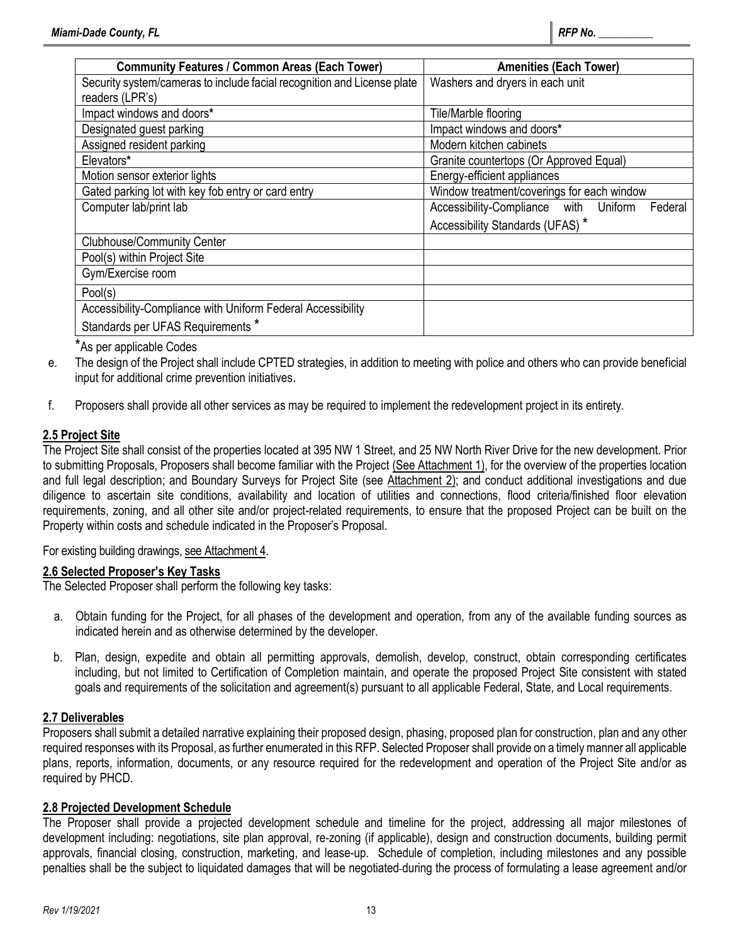| <b>Community Features / Common Areas (Each Tower)</b>                   | <b>Amenities (Each Tower)</b>                    |
|-------------------------------------------------------------------------|--------------------------------------------------|
| Security system/cameras to include facial recognition and License plate | Washers and dryers in each unit                  |
| readers (LPR's)                                                         |                                                  |
| Impact windows and doors*                                               | Tile/Marble flooring                             |
| Designated guest parking                                                | Impact windows and doors*                        |
| Assigned resident parking                                               | Modern kitchen cabinets                          |
| Elevators*                                                              | Granite countertops (Or Approved Equal)          |
| Motion sensor exterior lights                                           | Energy-efficient appliances                      |
| Gated parking lot with key fob entry or card entry                      | Window treatment/coverings for each window       |
| Computer lab/print lab                                                  | Accessibility-Compliance with Uniform<br>Federal |
|                                                                         | Accessibility Standards (UFAS)*                  |
| <b>Clubhouse/Community Center</b>                                       |                                                  |
| Pool(s) within Project Site                                             |                                                  |
| Gym/Exercise room                                                       |                                                  |
| Pool(s)                                                                 |                                                  |
| Accessibility-Compliance with Uniform Federal Accessibility             |                                                  |
| Standards per UFAS Requirements *                                       |                                                  |

\*As per applicable Codes

- e. The design of the Project shall include CPTED strategies, in addition to meeting with police and others who can provide beneficial input for additional crime prevention initiatives.
- f. Proposers shall provide all other services as may be required to implement the redevelopment project in its entirety.

## **2.5 Project Site**

The Project Site shall consist of the properties located at 395 NW 1 Street, and 25 NW North River Drive for the new development. Prior to submitting Proposals, Proposers shall become familiar with the Project (See Attachment 1), for the overview of the properties location and full legal description; and Boundary Surveys for Project Site (see Attachment 2); and conduct additional investigations and due diligence to ascertain site conditions, availability and location of utilities and connections, flood criteria/finished floor elevation requirements, zoning, and all other site and/or project-related requirements, to ensure that the proposed Project can be built on the Property within costs and schedule indicated in the Proposer's Proposal.

## For existing building drawings, see Attachment 4.

#### **2.6 Selected Proposer's Key Tasks**

The Selected Proposer shall perform the following key tasks:

- a. Obtain funding for the Project, for all phases of the development and operation, from any of the available funding sources as indicated herein and as otherwise determined by the developer.
- b. Plan, design, expedite and obtain all permitting approvals, demolish, develop, construct, obtain corresponding certificates including, but not limited to Certification of Completion maintain, and operate the proposed Project Site consistent with stated goals and requirements of the solicitation and agreement(s) pursuant to all applicable Federal, State, and Local requirements.

## **2.7 Deliverables**

Proposers shall submit a detailed narrative explaining their proposed design, phasing, proposed plan for construction, plan and any other required responses with its Proposal, as further enumerated in this RFP. Selected Proposer shall provide on a timely manner all applicable plans, reports, information, documents, or any resource required for the redevelopment and operation of the Project Site and/or as required by PHCD.

## **2.8 Projected Development Schedule**

The Proposer shall provide a projected development schedule and timeline for the project, addressing all major milestones of development including: negotiations, site plan approval, re-zoning (if applicable), design and construction documents, building permit approvals, financial closing, construction, marketing, and lease-up. Schedule of completion, including milestones and any possible penalties shall be the subject to liquidated damages that will be negotiated during the process of formulating a lease agreement and/or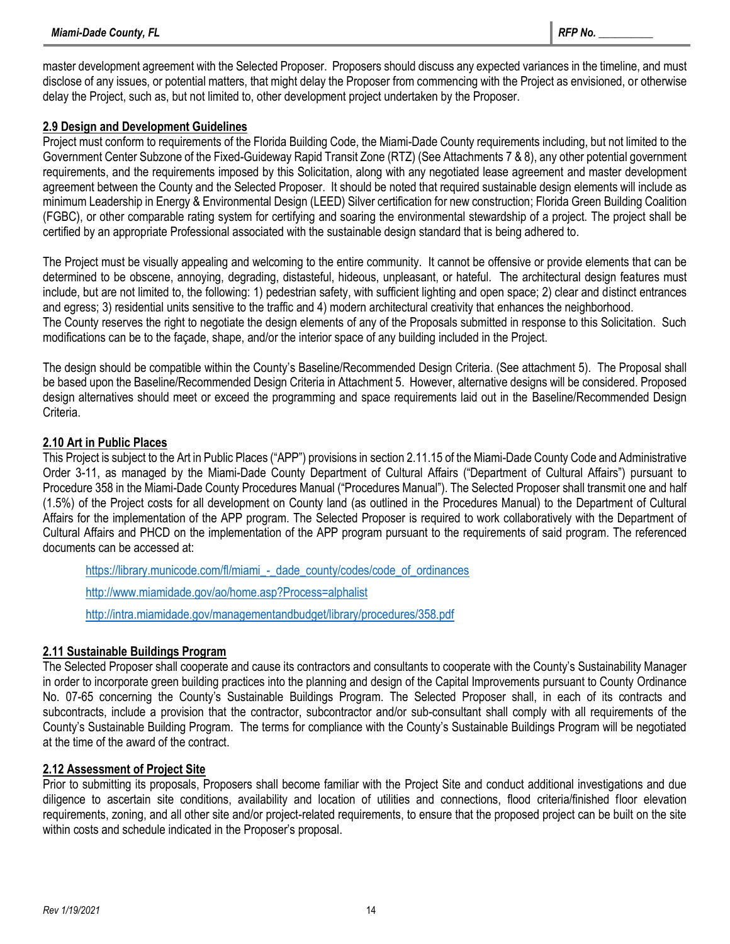master development agreement with the Selected Proposer. Proposers should discuss any expected variances in the timeline, and must disclose of any issues, or potential matters, that might delay the Proposer from commencing with the Project as envisioned, or otherwise delay the Project, such as, but not limited to, other development project undertaken by the Proposer.

## **2.9 Design and Development Guidelines**

Project must conform to requirements of the Florida Building Code, the Miami-Dade County requirements including, but not limited to the Government Center Subzone of the Fixed-Guideway Rapid Transit Zone (RTZ) (See Attachments 7 & 8), any other potential government requirements, and the requirements imposed by this Solicitation, along with any negotiated lease agreement and master development agreement between the County and the Selected Proposer. It should be noted that required sustainable design elements will include as minimum Leadership in Energy & Environmental Design (LEED) Silver certification for new construction; Florida Green Building Coalition (FGBC), or other comparable rating system for certifying and soaring the environmental stewardship of a project. The project shall be certified by an appropriate Professional associated with the sustainable design standard that is being adhered to.

The Project must be visually appealing and welcoming to the entire community. It cannot be offensive or provide elements that can be determined to be obscene, annoying, degrading, distasteful, hideous, unpleasant, or hateful. The architectural design features must include, but are not limited to, the following: 1) pedestrian safety, with sufficient lighting and open space; 2) clear and distinct entrances and egress; 3) residential units sensitive to the traffic and 4) modern architectural creativity that enhances the neighborhood.

The County reserves the right to negotiate the design elements of any of the Proposals submitted in response to this Solicitation. Such modifications can be to the façade, shape, and/or the interior space of any building included in the Project.

The design should be compatible within the County's Baseline/Recommended Design Criteria. (See attachment 5). The Proposal shall be based upon the Baseline/Recommended Design Criteria in Attachment 5. However, alternative designs will be considered. Proposed design alternatives should meet or exceed the programming and space requirements laid out in the Baseline/Recommended Design Criteria.

## **2.10 Art in Public Places**

This Project is subject to the Art in Public Places ("APP") provisions in section 2.11.15 of the Miami-Dade County Code and Administrative Order 3-11, as managed by the Miami-Dade County Department of Cultural Affairs ("Department of Cultural Affairs") pursuant to Procedure 358 in the Miami-Dade County Procedures Manual ("Procedures Manual"). The Selected Proposer shall transmit one and half (1.5%) of the Project costs for all development on County land (as outlined in the Procedures Manual) to the Department of Cultural Affairs for the implementation of the APP program. The Selected Proposer is required to work collaboratively with the Department of Cultural Affairs and PHCD on the implementation of the APP program pursuant to the requirements of said program. The referenced documents can be accessed at:

[https://library.municode.com/fl/miami\\_-\\_dade\\_county/codes/code\\_of\\_ordinances](https://library.municode.com/fl/miami_-_dade_county/codes/code_of_ordinances)

<http://www.miamidade.gov/ao/home.asp?Process=alphalist>

<http://intra.miamidade.gov/managementandbudget/library/procedures/358.pdf>

## **2.11 Sustainable Buildings Program**

The Selected Proposer shall cooperate and cause its contractors and consultants to cooperate with the County's Sustainability Manager in order to incorporate green building practices into the planning and design of the Capital Improvements pursuant to County Ordinance No. 07-65 concerning the County's Sustainable Buildings Program. The Selected Proposer shall, in each of its contracts and subcontracts, include a provision that the contractor, subcontractor and/or sub-consultant shall comply with all requirements of the County's Sustainable Building Program. The terms for compliance with the County's Sustainable Buildings Program will be negotiated at the time of the award of the contract.

## **2.12 Assessment of Project Site**

Prior to submitting its proposals, Proposers shall become familiar with the Project Site and conduct additional investigations and due diligence to ascertain site conditions, availability and location of utilities and connections, flood criteria/finished floor elevation requirements, zoning, and all other site and/or project-related requirements, to ensure that the proposed project can be built on the site within costs and schedule indicated in the Proposer's proposal.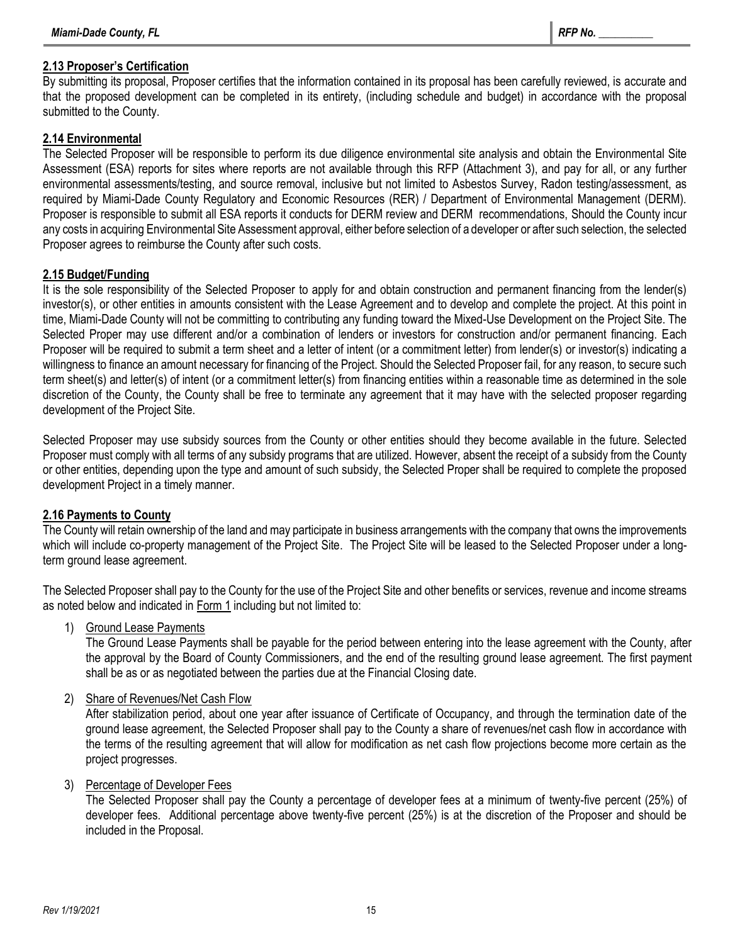## **2.13 Proposer's Certification**

By submitting its proposal, Proposer certifies that the information contained in its proposal has been carefully reviewed, is accurate and that the proposed development can be completed in its entirety, (including schedule and budget) in accordance with the proposal submitted to the County.

#### **2.14 Environmental**

The Selected Proposer will be responsible to perform its due diligence environmental site analysis and obtain the Environmental Site Assessment (ESA) reports for sites where reports are not available through this RFP (Attachment 3), and pay for all, or any further environmental assessments/testing, and source removal, inclusive but not limited to Asbestos Survey, Radon testing/assessment, as required by Miami-Dade County Regulatory and Economic Resources (RER) / Department of Environmental Management (DERM). Proposer is responsible to submit all ESA reports it conducts for DERM review and DERM recommendations, Should the County incur any costs in acquiring Environmental Site Assessment approval, either before selection of a developer or after such selection, the selected Proposer agrees to reimburse the County after such costs.

#### **2.15 Budget/Funding**

It is the sole responsibility of the Selected Proposer to apply for and obtain construction and permanent financing from the lender(s) investor(s), or other entities in amounts consistent with the Lease Agreement and to develop and complete the project. At this point in time, Miami-Dade County will not be committing to contributing any funding toward the Mixed-Use Development on the Project Site. The Selected Proper may use different and/or a combination of lenders or investors for construction and/or permanent financing. Each Proposer will be required to submit a term sheet and a letter of intent (or a commitment letter) from lender(s) or investor(s) indicating a willingness to finance an amount necessary for financing of the Project. Should the Selected Proposer fail, for any reason, to secure such term sheet(s) and letter(s) of intent (or a commitment letter(s) from financing entities within a reasonable time as determined in the sole discretion of the County, the County shall be free to terminate any agreement that it may have with the selected proposer regarding development of the Project Site.

Selected Proposer may use subsidy sources from the County or other entities should they become available in the future. Selected Proposer must comply with all terms of any subsidy programs that are utilized. However, absent the receipt of a subsidy from the County or other entities, depending upon the type and amount of such subsidy, the Selected Proper shall be required to complete the proposed development Project in a timely manner.

## **2.16 Payments to County**

The County will retain ownership of the land and may participate in business arrangements with the company that owns the improvements which will include co-property management of the Project Site. The Project Site will be leased to the Selected Proposer under a longterm ground lease agreement.

The Selected Proposer shall pay to the County for the use of the Project Site and other benefits or services, revenue and income streams as noted below and indicated in Form 1 including but not limited to:

1) Ground Lease Payments

The Ground Lease Payments shall be payable for the period between entering into the lease agreement with the County, after the approval by the Board of County Commissioners, and the end of the resulting ground lease agreement. The first payment shall be as or as negotiated between the parties due at the Financial Closing date.

## 2) Share of Revenues/Net Cash Flow

After stabilization period, about one year after issuance of Certificate of Occupancy, and through the termination date of the ground lease agreement, the Selected Proposer shall pay to the County a share of revenues/net cash flow in accordance with the terms of the resulting agreement that will allow for modification as net cash flow projections become more certain as the project progresses.

#### 3) Percentage of Developer Fees

The Selected Proposer shall pay the County a percentage of developer fees at a minimum of twenty-five percent (25%) of developer fees. Additional percentage above twenty-five percent (25%) is at the discretion of the Proposer and should be included in the Proposal.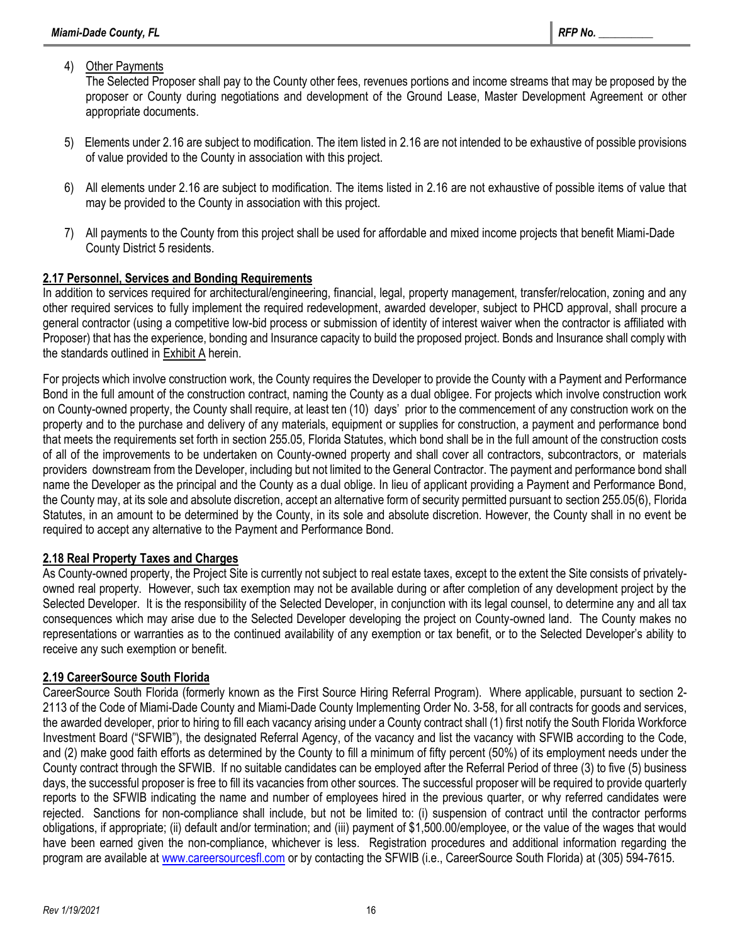## 4) Other Payments

The Selected Proposer shall pay to the County other fees, revenues portions and income streams that may be proposed by the proposer or County during negotiations and development of the Ground Lease, Master Development Agreement or other appropriate documents.

- 5) Elements under 2.16 are subject to modification. The item listed in 2.16 are not intended to be exhaustive of possible provisions of value provided to the County in association with this project.
- 6) All elements under 2.16 are subject to modification. The items listed in 2.16 are not exhaustive of possible items of value that may be provided to the County in association with this project.
- 7) All payments to the County from this project shall be used for affordable and mixed income projects that benefit Miami-Dade County District 5 residents.

## **2.17 Personnel, Services and Bonding Requirements**

In addition to services required for architectural/engineering, financial, legal, property management, transfer/relocation, zoning and any other required services to fully implement the required redevelopment, awarded developer, subject to PHCD approval, shall procure a general contractor (using a competitive low-bid process or submission of identity of interest waiver when the contractor is affiliated with Proposer) that has the experience, bonding and Insurance capacity to build the proposed project. Bonds and Insurance shall comply with the standards outlined in Exhibit A herein.

For projects which involve construction work, the County requires the Developer to provide the County with a Payment and Performance Bond in the full amount of the construction contract, naming the County as a dual obligee. For projects which involve construction work on County-owned property, the County shall require, at least ten (10) days' prior to the commencement of any construction work on the property and to the purchase and delivery of any materials, equipment or supplies for construction, a payment and performance bond that meets the requirements set forth in section 255.05, Florida Statutes, which bond shall be in the full amount of the construction costs of all of the improvements to be undertaken on County-owned property and shall cover all contractors, subcontractors, or materials providers downstream from the Developer, including but not limited to the General Contractor. The payment and performance bond shall name the Developer as the principal and the County as a dual oblige. In lieu of applicant providing a Payment and Performance Bond, the County may, at its sole and absolute discretion, accept an alternative form of security permitted pursuant to section 255.05(6), Florida Statutes, in an amount to be determined by the County, in its sole and absolute discretion. However, the County shall in no event be required to accept any alternative to the Payment and Performance Bond.

## **2.18 Real Property Taxes and Charges**

As County-owned property, the Project Site is currently not subject to real estate taxes, except to the extent the Site consists of privatelyowned real property. However, such tax exemption may not be available during or after completion of any development project by the Selected Developer. It is the responsibility of the Selected Developer, in conjunction with its legal counsel, to determine any and all tax consequences which may arise due to the Selected Developer developing the project on County-owned land. The County makes no representations or warranties as to the continued availability of any exemption or tax benefit, or to the Selected Developer's ability to receive any such exemption or benefit.

## **2.19 CareerSource South Florida**

CareerSource South Florida (formerly known as the First Source Hiring Referral Program). Where applicable, pursuant to section 2- 2113 of the Code of Miami-Dade County and Miami-Dade County Implementing Order No. 3-58, for all contracts for goods and services, the awarded developer, prior to hiring to fill each vacancy arising under a County contract shall (1) first notify the South Florida Workforce Investment Board ("SFWIB"), the designated Referral Agency, of the vacancy and list the vacancy with SFWIB according to the Code, and (2) make good faith efforts as determined by the County to fill a minimum of fifty percent (50%) of its employment needs under the County contract through the SFWIB. If no suitable candidates can be employed after the Referral Period of three (3) to five (5) business days, the successful proposer is free to fill its vacancies from other sources. The successful proposer will be required to provide quarterly reports to the SFWIB indicating the name and number of employees hired in the previous quarter, or why referred candidates were rejected. Sanctions for non-compliance shall include, but not be limited to: (i) suspension of contract until the contractor performs obligations, if appropriate; (ii) default and/or termination; and (iii) payment of \$1,500.00/employee, or the value of the wages that would have been earned given the non-compliance, whichever is less. Registration procedures and additional information regarding the program are available at [www.careersourcesfl.com](http://www.careersourcesfl.com/) or by contacting the SFWIB (i.e., CareerSource South Florida) at (305) 594-7615.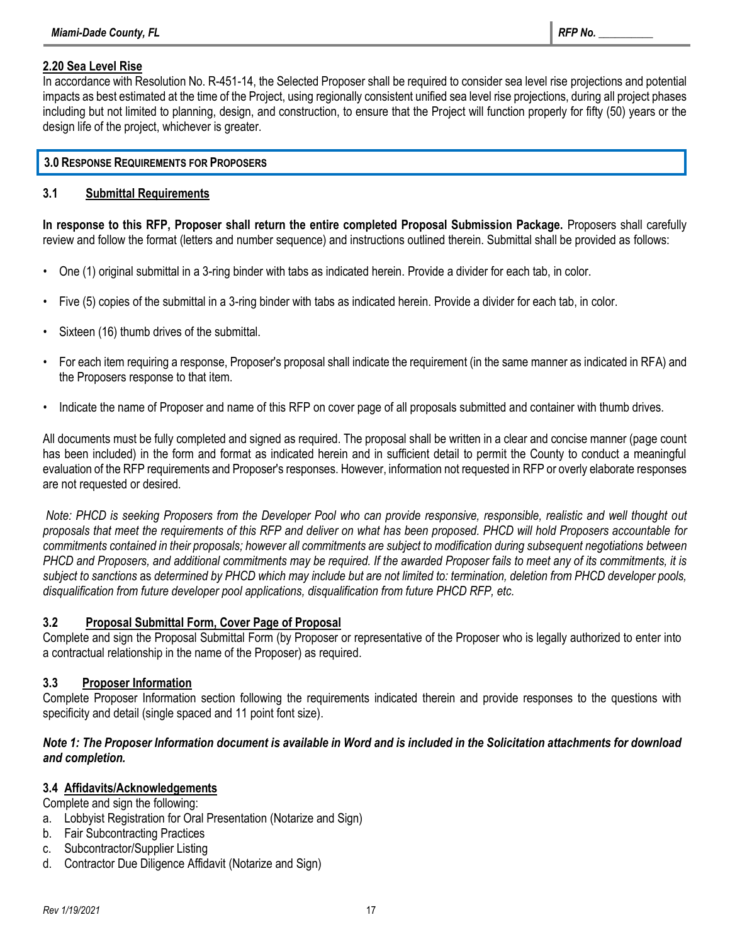## **2.20 Sea Level Rise**

In accordance with Resolution No. R-451-14, the Selected Proposer shall be required to consider sea level rise projections and potential impacts as best estimated at the time of the Project, using regionally consistent unified sea level rise projections, during all project phases including but not limited to planning, design, and construction, to ensure that the Project will function properly for fifty (50) years or the design life of the project, whichever is greater.

## **3.0 RESPONSE REQUIREMENTS FOR PROPOSERS**

## **3.1 Submittal Requirements**

**In response to this RFP, Proposer shall return the entire completed Proposal Submission Package.** Proposers shall carefully review and follow the format (letters and number sequence) and instructions outlined therein. Submittal shall be provided as follows:

- One (1) original submittal in a 3-ring binder with tabs as indicated herein. Provide a divider for each tab, in color.
- Five (5) copies of the submittal in a 3-ring binder with tabs as indicated herein. Provide a divider for each tab, in color.
- Sixteen (16) thumb drives of the submittal.
- For each item requiring a response, Proposer's proposal shall indicate the requirement (in the same manner as indicated in RFA) and the Proposers response to that item.
- Indicate the name of Proposer and name of this RFP on cover page of all proposals submitted and container with thumb drives.

All documents must be fully completed and signed as required. The proposal shall be written in a clear and concise manner (page count has been included) in the form and format as indicated herein and in sufficient detail to permit the County to conduct a meaningful evaluation of the RFP requirements and Proposer's responses. However, information not requested in RFP or overly elaborate responses are not requested or desired.

*Note: PHCD is seeking Proposers from the Developer Pool who can provide responsive, responsible, realistic and well thought out proposals that meet the requirements of this RFP and deliver on what has been proposed. PHCD will hold Proposers accountable for commitments contained in their proposals; however all commitments are subject to modification during subsequent negotiations between PHCD and Proposers, and additional commitments may be required. If the awarded Proposer fails to meet any of its commitments, it is subject to sanctions* as *determined by PHCD which may include but are not limited to: termination, deletion from PHCD developer pools, disqualification from future developer pool applications, disqualification from future PHCD RFP, etc.*

## **3.2 Proposal Submittal Form, Cover Page of Proposal**

Complete and sign the Proposal Submittal Form (by Proposer or representative of the Proposer who is legally authorized to enter into a contractual relationship in the name of the Proposer) as required.

## **3.3 Proposer Information**

Complete Proposer Information section following the requirements indicated therein and provide responses to the questions with specificity and detail (single spaced and 11 point font size).

## *Note 1: The Proposer Information document is available in Word and is included in the Solicitation attachments for download and completion.*

## **3.4 Affidavits/Acknowledgements**

Complete and sign the following:

- a. Lobbyist Registration for Oral Presentation (Notarize and Sign)
- b. Fair Subcontracting Practices
- c. Subcontractor/Supplier Listing
- d. Contractor Due Diligence Affidavit (Notarize and Sign)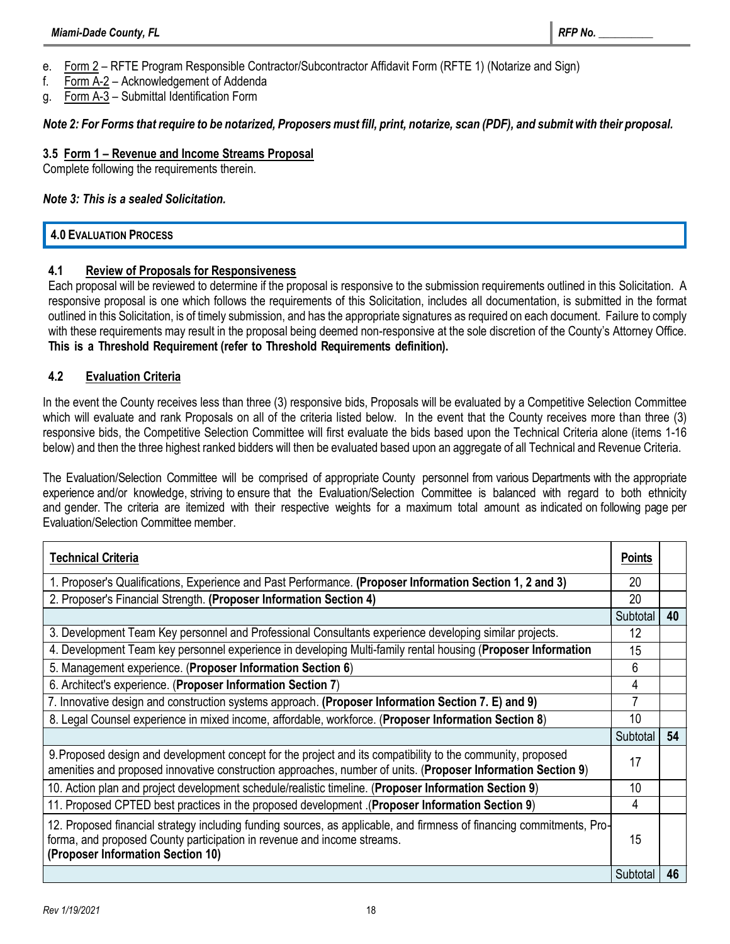- e. Form 2 RFTE Program Responsible Contractor/Subcontractor Affidavit Form (RFTE 1) (Notarize and Sign)
- f. Form A-2 Acknowledgement of Addenda
- g. Form A-3 Submittal Identification Form

## *Note 2: For Forms that require to be notarized, Proposers must fill, print, notarize, scan (PDF), and submit with their proposal.*

## **3.5 Form 1 – Revenue and Income Streams Proposal**

Complete following the requirements therein.

#### *Note 3: This is a sealed Solicitation.*

## **4.0 EVALUATION PROCESS**

## **4.1 Review of Proposals for Responsiveness**

Each proposal will be reviewed to determine if the proposal is responsive to the submission requirements outlined in this Solicitation. A responsive proposal is one which follows the requirements of this Solicitation, includes all documentation, is submitted in the format outlined in this Solicitation, is of timely submission, and has the appropriate signatures as required on each document. Failure to comply with these requirements may result in the proposal being deemed non-responsive at the sole discretion of the County's Attorney Office. **This is a Threshold Requirement (refer to Threshold Requirements definition).**

## **4.2 Evaluation Criteria**

In the event the County receives less than three (3) responsive bids, Proposals will be evaluated by a Competitive Selection Committee which will evaluate and rank Proposals on all of the criteria listed below. In the event that the County receives more than three (3) responsive bids, the Competitive Selection Committee will first evaluate the bids based upon the Technical Criteria alone (items 1-16 below) and then the three highest ranked bidders will then be evaluated based upon an aggregate of all Technical and Revenue Criteria.

The Evaluation/Selection Committee will be comprised of appropriate County personnel from various Departments with the appropriate experience and/or knowledge, striving to ensure that the Evaluation/Selection Committee is balanced with regard to both ethnicity and gender. The criteria are itemized with their respective weights for a maximum total amount as indicated on following page per Evaluation/Selection Committee member.

| <b>Technical Criteria</b>                                                                                                                                                                                                             |          |    |
|---------------------------------------------------------------------------------------------------------------------------------------------------------------------------------------------------------------------------------------|----------|----|
| 1. Proposer's Qualifications, Experience and Past Performance. (Proposer Information Section 1, 2 and 3)                                                                                                                              |          |    |
| 2. Proposer's Financial Strength. (Proposer Information Section 4)                                                                                                                                                                    |          |    |
|                                                                                                                                                                                                                                       | Subtotal | 40 |
| 3. Development Team Key personnel and Professional Consultants experience developing similar projects.                                                                                                                                | 12       |    |
| 4. Development Team key personnel experience in developing Multi-family rental housing (Proposer Information                                                                                                                          | 15       |    |
| 5. Management experience. (Proposer Information Section 6)                                                                                                                                                                            |          |    |
| 6. Architect's experience. (Proposer Information Section 7)                                                                                                                                                                           | 4        |    |
| 7. Innovative design and construction systems approach. (Proposer Information Section 7. E) and 9)                                                                                                                                    |          |    |
| 8. Legal Counsel experience in mixed income, affordable, workforce. (Proposer Information Section 8)                                                                                                                                  |          |    |
|                                                                                                                                                                                                                                       | Subtotal | 54 |
| 9. Proposed design and development concept for the project and its compatibility to the community, proposed<br>amenities and proposed innovative construction approaches, number of units. (Proposer Information Section 9)           | 17       |    |
| 10. Action plan and project development schedule/realistic timeline. (Proposer Information Section 9)                                                                                                                                 | 10       |    |
| (Proposed CPTED best practices in the proposed development (Proposer Information Section 9)                                                                                                                                           | 4        |    |
| 12. Proposed financial strategy including funding sources, as applicable, and firmness of financing commitments, Pro-<br>forma, and proposed County participation in revenue and income streams.<br>(Proposer Information Section 10) |          |    |
|                                                                                                                                                                                                                                       | Subtotal | 46 |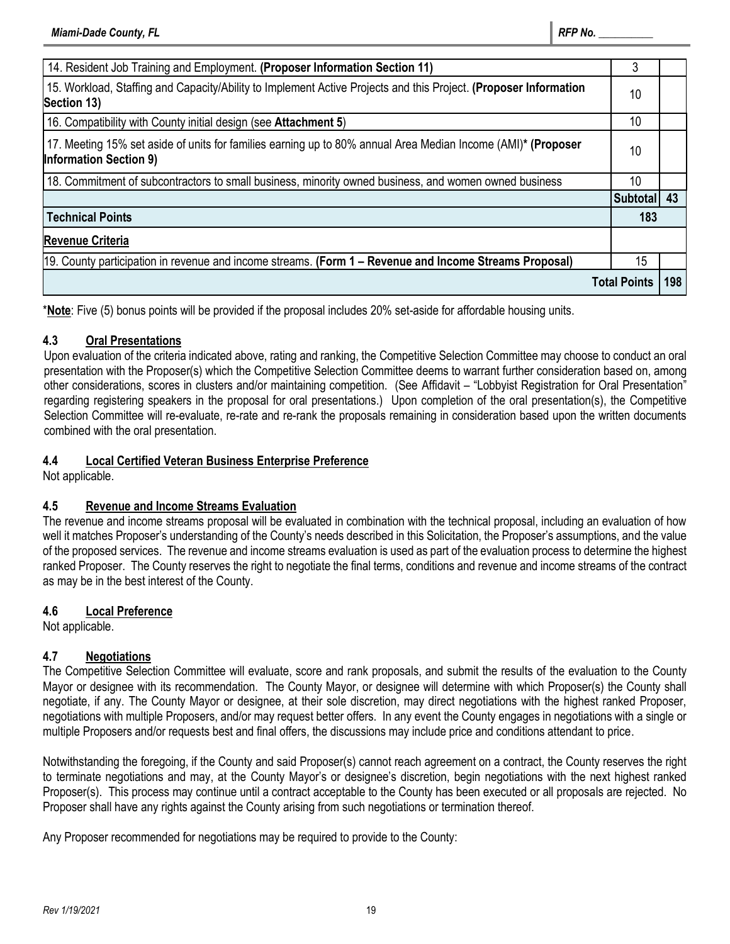| 14. Resident Job Training and Employment. (Proposer Information Section 11)                                                                   |                            |     |
|-----------------------------------------------------------------------------------------------------------------------------------------------|----------------------------|-----|
| 15. Workload, Staffing and Capacity/Ability to Implement Active Projects and this Project. (Proposer Information<br>Section 13)               |                            |     |
| 16. Compatibility with County initial design (see Attachment 5)                                                                               |                            |     |
| 17. Meeting 15% set aside of units for families earning up to 80% annual Area Median Income (AMI)* (Proposer<br><b>Information Section 9)</b> |                            |     |
| 18. Commitment of subcontractors to small business, minority owned business, and women owned business                                         |                            |     |
|                                                                                                                                               | Subtotal 43                |     |
| <b>Technical Points</b>                                                                                                                       |                            | 183 |
| <b>Revenue Criteria</b>                                                                                                                       |                            |     |
| 19. County participation in revenue and income streams. (Form 1 – Revenue and Income Streams Proposal)                                        | 15                         |     |
|                                                                                                                                               | <b>Total Points</b><br>198 |     |

\***Note**: Five (5) bonus points will be provided if the proposal includes 20% set-aside for affordable housing units.

## **4.3 Oral Presentations**

Upon evaluation of the criteria indicated above, rating and ranking, the Competitive Selection Committee may choose to conduct an oral presentation with the Proposer(s) which the Competitive Selection Committee deems to warrant further consideration based on, among other considerations, scores in clusters and/or maintaining competition. (See Affidavit – "Lobbyist Registration for Oral Presentation" regarding registering speakers in the proposal for oral presentations.) Upon completion of the oral presentation(s), the Competitive Selection Committee will re-evaluate, re-rate and re-rank the proposals remaining in consideration based upon the written documents combined with the oral presentation.

## **4.4 Local Certified Veteran Business Enterprise Preference**

Not applicable.

## **4.5 Revenue and Income Streams Evaluation**

The revenue and income streams proposal will be evaluated in combination with the technical proposal, including an evaluation of how well it matches Proposer's understanding of the County's needs described in this Solicitation, the Proposer's assumptions, and the value of the proposed services. The revenue and income streams evaluation is used as part of the evaluation process to determine the highest ranked Proposer. The County reserves the right to negotiate the final terms, conditions and revenue and income streams of the contract as may be in the best interest of the County.

## **4.6 Local Preference**

Not applicable.

## **4.7 Negotiations**

The Competitive Selection Committee will evaluate, score and rank proposals, and submit the results of the evaluation to the County Mayor or designee with its recommendation. The County Mayor, or designee will determine with which Proposer(s) the County shall negotiate, if any. The County Mayor or designee, at their sole discretion, may direct negotiations with the highest ranked Proposer, negotiations with multiple Proposers, and/or may request better offers. In any event the County engages in negotiations with a single or multiple Proposers and/or requests best and final offers, the discussions may include price and conditions attendant to price.

Notwithstanding the foregoing, if the County and said Proposer(s) cannot reach agreement on a contract, the County reserves the right to terminate negotiations and may, at the County Mayor's or designee's discretion, begin negotiations with the next highest ranked Proposer(s). This process may continue until a contract acceptable to the County has been executed or all proposals are rejected. No Proposer shall have any rights against the County arising from such negotiations or termination thereof.

Any Proposer recommended for negotiations may be required to provide to the County: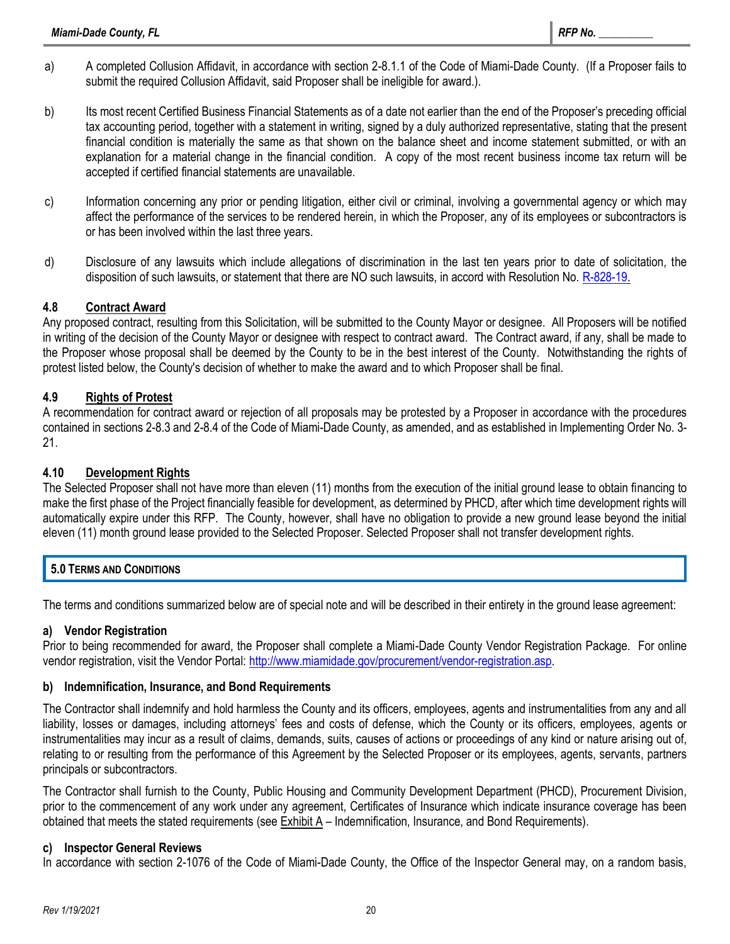- a) A completed Collusion Affidavit, in accordance with section 2-8.1.1 of the Code of Miami-Dade County. (If a Proposer fails to submit the required Collusion Affidavit, said Proposer shall be ineligible for award.).
- b) Its most recent Certified Business Financial Statements as of a date not earlier than the end of the Proposer's preceding official tax accounting period, together with a statement in writing, signed by a duly authorized representative, stating that the present financial condition is materially the same as that shown on the balance sheet and income statement submitted, or with an explanation for a material change in the financial condition. A copy of the most recent business income tax return will be accepted if certified financial statements are unavailable.
- c) Information concerning any prior or pending litigation, either civil or criminal, involving a governmental agency or which may affect the performance of the services to be rendered herein, in which the Proposer, any of its employees or subcontractors is or has been involved within the last three years.
- d) Disclosure of any lawsuits which include allegations of discrimination in the last ten years prior to date of solicitation, the disposition of such lawsuits, or statement that there are NO such lawsuits, in accord with Resolution No[. R-828-19.](http://www.miamidade.gov/govaction/matter.asp?matter=190936&file=true&fileAnalysis=false&yearFolder=Y2019)

## **4.8 Contract Award**

Any proposed contract, resulting from this Solicitation, will be submitted to the County Mayor or designee. All Proposers will be notified in writing of the decision of the County Mayor or designee with respect to contract award. The Contract award, if any, shall be made to the Proposer whose proposal shall be deemed by the County to be in the best interest of the County. Notwithstanding the rights of protest listed below, the County's decision of whether to make the award and to which Proposer shall be final.

## **4.9 Rights of Protest**

A recommendation for contract award or rejection of all proposals may be protested by a Proposer in accordance with the procedures contained in sections 2-8.3 and 2-8.4 of the Code of Miami-Dade County, as amended, and as established in Implementing Order No. 3- 21.

## **4.10 Development Rights**

The Selected Proposer shall not have more than eleven (11) months from the execution of the initial ground lease to obtain financing to make the first phase of the Project financially feasible for development, as determined by PHCD, after which time development rights will automatically expire under this RFP. The County, however, shall have no obligation to provide a new ground lease beyond the initial eleven (11) month ground lease provided to the Selected Proposer. Selected Proposer shall not transfer development rights.

## **5.0 TERMS AND CONDITIONS**

The terms and conditions summarized below are of special note and will be described in their entirety in the ground lease agreement:

## **a) Vendor Registration**

Prior to being recommended for award, the Proposer shall complete a Miami-Dade County Vendor Registration Package. For online vendor registration, visit the Vendor Portal: [http://www.miamidade.gov/procurement/vendor-registration.asp.](http://www.miamidade.gov/procurement/vendor-registration.asp)

## **b) Indemnification, Insurance, and Bond Requirements**

The Contractor shall indemnify and hold harmless the County and its officers, employees, agents and instrumentalities from any and all liability, losses or damages, including attorneys' fees and costs of defense, which the County or its officers, employees, agents or instrumentalities may incur as a result of claims, demands, suits, causes of actions or proceedings of any kind or nature arising out of, relating to or resulting from the performance of this Agreement by the Selected Proposer or its employees, agents, servants, partners principals or subcontractors.

The Contractor shall furnish to the County, Public Housing and Community Development Department (PHCD), Procurement Division, prior to the commencement of any work under any agreement, Certificates of Insurance which indicate insurance coverage has been obtained that meets the stated requirements (see Exhibit A – Indemnification, Insurance, and Bond Requirements).

## **c) Inspector General Reviews**

In accordance with section 2-1076 of the Code of Miami-Dade County, the Office of the Inspector General may, on a random basis,